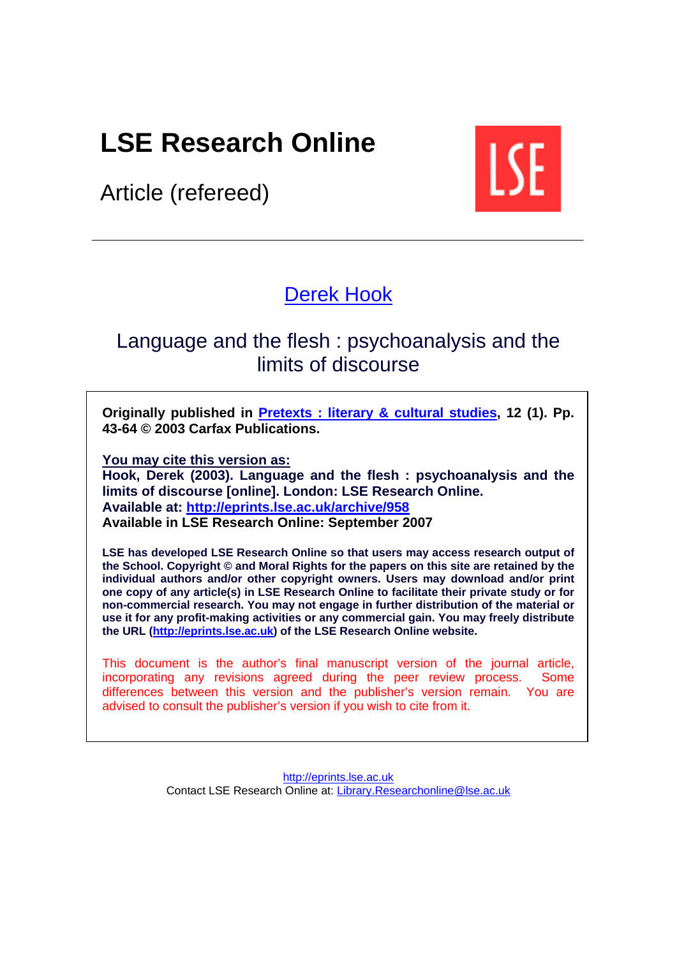# **LSE Research Online**

Article (refereed)



### [Derek Hook](http://www.lse.ac.uk/people/0000281307/publications.htm)

### Language and the flesh : psychoanalysis and the limits of discourse

**Originally published in [Pretexts : literary & cultural studies](http://www.tandf.co.uk/journals/carfax/1015549X.html), 12 (1). Pp. 43-64 © 2003 Carfax Publications.** 

**You may cite this version as:** 

**Hook, Derek (2003). Language and the flesh : psychoanalysis and the limits of discourse [online]. London: LSE Research Online. Available at: http://eprints.lse.ac.uk/archive/958 Available in LSE Research Online: September 2007**

**LSE has developed LSE Research Online so that users may access research output of the School. Copyright © and Moral Rights for the papers on this site are retained by the individual authors and/or other copyright owners. Users may download and/or print one copy of any article(s) in LSE Research Online to facilitate their private study or for non-commercial research. You may not engage in further distribution of the material or use it for any profit-making activities or any commercial gain. You may freely distribute the URL [\(http://eprints.lse.ac.uk\)](http://eprints.lse.ac.uk/) of the LSE Research Online website.** 

This document is the author's final manuscript version of the journal article, incorporating any revisions agreed during the peer review process. Some differences between this version and the publisher's version remain. You are advised to consult the publisher's version if you wish to cite from it.

> [http://eprints.lse.ac.uk](http://eprints.lse.ac.uk/) Contact LSE Research Online at: [Library.Researchonline@lse.ac.uk](mailto:Library.Researchonline@lse.ac.uk)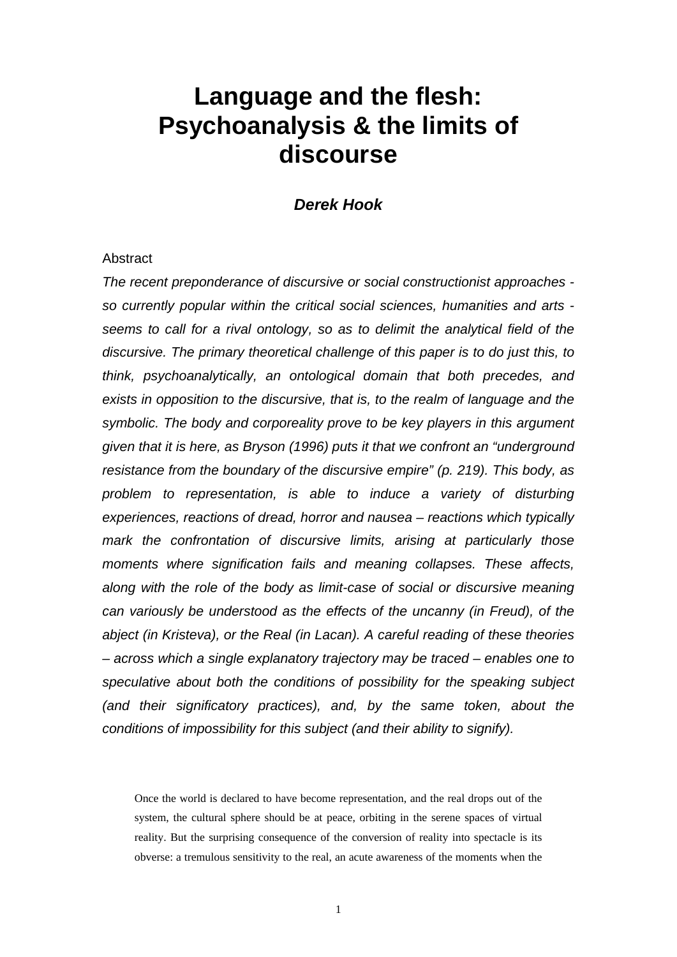## **Language and the flesh: Psychoanalysis & the limits of discourse**

#### *Derek Hook*

#### Abstract

*The recent preponderance of discursive or social constructionist approaches so currently popular within the critical social sciences, humanities and arts seems to call for a rival ontology, so as to delimit the analytical field of the discursive. The primary theoretical challenge of this paper is to do just this, to think, psychoanalytically, an ontological domain that both precedes, and exists in opposition to the discursive, that is, to the realm of language and the symbolic. The body and corporeality prove to be key players in this argument given that it is here, as Bryson (1996) puts it that we confront an "underground resistance from the boundary of the discursive empire" (p. 219). This body, as problem to representation, is able to induce a variety of disturbing experiences, reactions of dread, horror and nausea – reactions which typically mark the confrontation of discursive limits, arising at particularly those moments where signification fails and meaning collapses. These affects, along with the role of the body as limit-case of social or discursive meaning can variously be understood as the effects of the uncanny (in Freud), of the abject (in Kristeva), or the Real (in Lacan). A careful reading of these theories – across which a single explanatory trajectory may be traced – enables one to speculative about both the conditions of possibility for the speaking subject (and their significatory practices), and, by the same token, about the conditions of impossibility for this subject (and their ability to signify).* 

Once the world is declared to have become representation, and the real drops out of the system, the cultural sphere should be at peace, orbiting in the serene spaces of virtual reality. But the surprising consequence of the conversion of reality into spectacle is its obverse: a tremulous sensitivity to the real, an acute awareness of the moments when the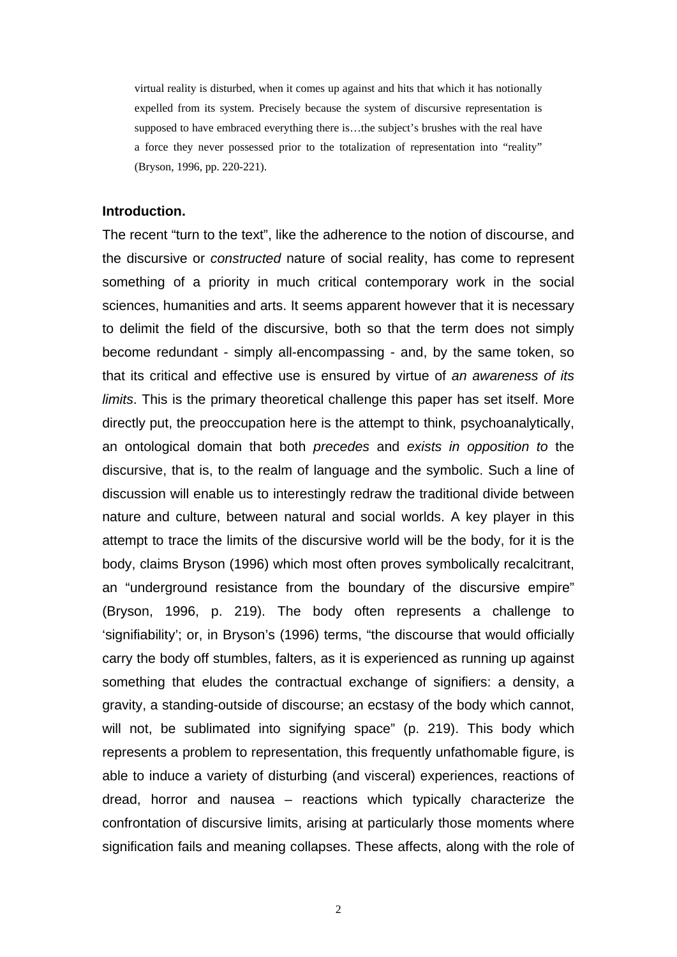virtual reality is disturbed, when it comes up against and hits that which it has notionally expelled from its system. Precisely because the system of discursive representation is supposed to have embraced everything there is…the subject's brushes with the real have a force they never possessed prior to the totalization of representation into "reality" (Bryson, 1996, pp. 220-221).

#### **Introduction.**

The recent "turn to the text", like the adherence to the notion of discourse, and the discursive or *constructed* nature of social reality, has come to represent something of a priority in much critical contemporary work in the social sciences, humanities and arts. It seems apparent however that it is necessary to delimit the field of the discursive, both so that the term does not simply become redundant - simply all-encompassing - and, by the same token, so that its critical and effective use is ensured by virtue of *an awareness of its limits*. This is the primary theoretical challenge this paper has set itself. More directly put, the preoccupation here is the attempt to think, psychoanalytically, an ontological domain that both *precedes* and *exists in opposition to* the discursive, that is, to the realm of language and the symbolic. Such a line of discussion will enable us to interestingly redraw the traditional divide between nature and culture, between natural and social worlds. A key player in this attempt to trace the limits of the discursive world will be the body, for it is the body, claims Bryson (1996) which most often proves symbolically recalcitrant, an "underground resistance from the boundary of the discursive empire" (Bryson, 1996, p. 219). The body often represents a challenge to 'signifiability'; or, in Bryson's (1996) terms, "the discourse that would officially carry the body off stumbles, falters, as it is experienced as running up against something that eludes the contractual exchange of signifiers: a density, a gravity, a standing-outside of discourse; an ecstasy of the body which cannot, will not, be sublimated into signifying space" (p. 219). This body which represents a problem to representation, this frequently unfathomable figure, is able to induce a variety of disturbing (and visceral) experiences, reactions of dread, horror and nausea – reactions which typically characterize the confrontation of discursive limits, arising at particularly those moments where signification fails and meaning collapses. These affects, along with the role of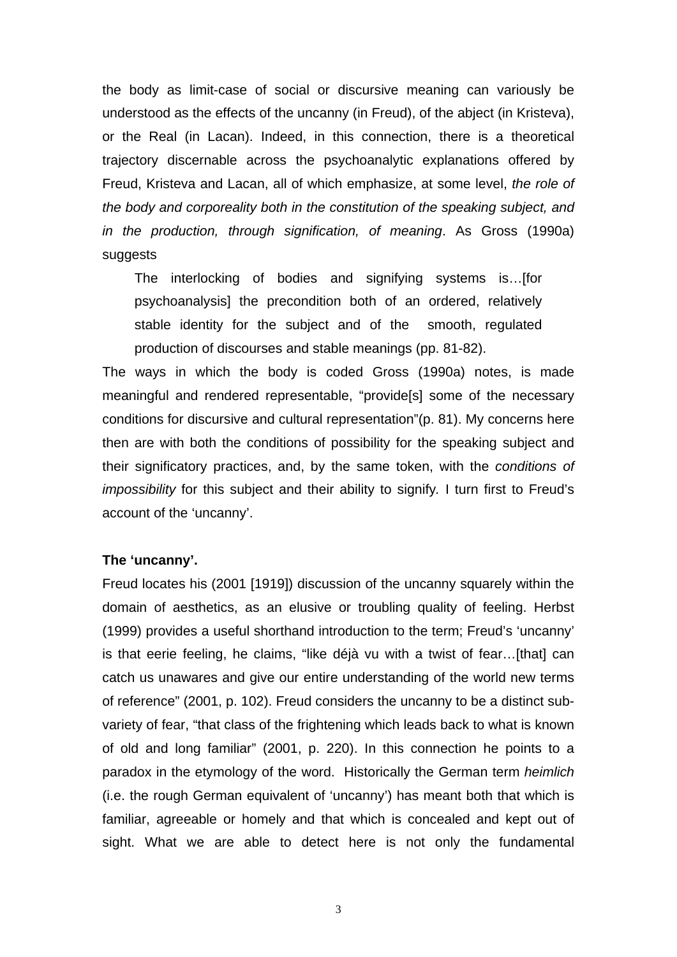the body as limit-case of social or discursive meaning can variously be understood as the effects of the uncanny (in Freud), of the abject (in Kristeva), or the Real (in Lacan). Indeed, in this connection, there is a theoretical trajectory discernable across the psychoanalytic explanations offered by Freud, Kristeva and Lacan, all of which emphasize, at some level, *the role of the body and corporeality both in the constitution of the speaking subject, and in the production, through signification, of meaning*. As Gross (1990a) suggests

The interlocking of bodies and signifying systems is…[for psychoanalysis] the precondition both of an ordered, relatively stable identity for the subject and of the smooth, regulated production of discourses and stable meanings (pp. 81-82).

The ways in which the body is coded Gross (1990a) notes, is made meaningful and rendered representable, "provide[s] some of the necessary conditions for discursive and cultural representation"(p. 81). My concerns here then are with both the conditions of possibility for the speaking subject and their significatory practices, and, by the same token, with the *conditions of impossibility* for this subject and their ability to signify*.* I turn first to Freud's account of the 'uncanny'.

#### **The 'uncanny'.**

Freud locates his (2001 [1919]) discussion of the uncanny squarely within the domain of aesthetics, as an elusive or troubling quality of feeling. Herbst (1999) provides a useful shorthand introduction to the term; Freud's 'uncanny' is that eerie feeling, he claims, "like déjà vu with a twist of fear…[that] can catch us unawares and give our entire understanding of the world new terms of reference" (2001, p. 102). Freud considers the uncanny to be a distinct subvariety of fear, "that class of the frightening which leads back to what is known of old and long familiar" (2001, p. 220). In this connection he points to a paradox in the etymology of the word. Historically the German term *heimlich* (i.e. the rough German equivalent of 'uncanny') has meant both that which is familiar, agreeable or homely and that which is concealed and kept out of sight. What we are able to detect here is not only the fundamental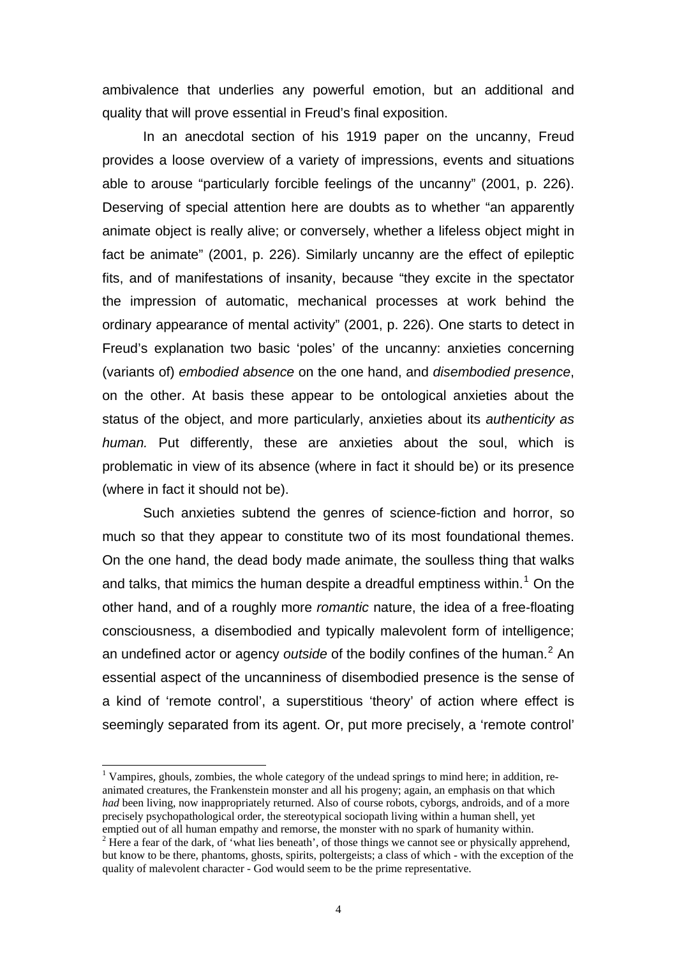ambivalence that underlies any powerful emotion, but an additional and quality that will prove essential in Freud's final exposition.

In an anecdotal section of his 1919 paper on the uncanny, Freud provides a loose overview of a variety of impressions, events and situations able to arouse "particularly forcible feelings of the uncanny" (2001, p. 226). Deserving of special attention here are doubts as to whether "an apparently animate object is really alive; or conversely, whether a lifeless object might in fact be animate" (2001, p. 226). Similarly uncanny are the effect of epileptic fits, and of manifestations of insanity, because "they excite in the spectator the impression of automatic, mechanical processes at work behind the ordinary appearance of mental activity" (2001, p. 226). One starts to detect in Freud's explanation two basic 'poles' of the uncanny: anxieties concerning (variants of) *embodied absence* on the one hand, and *disembodied presence*, on the other. At basis these appear to be ontological anxieties about the status of the object, and more particularly, anxieties about its *authenticity as human.* Put differently, these are anxieties about the soul, which is problematic in view of its absence (where in fact it should be) or its presence (where in fact it should not be).

Such anxieties subtend the genres of science-fiction and horror, so much so that they appear to constitute two of its most foundational themes. On the one hand, the dead body made animate, the soulless thing that walks and talks, that mimics the human despite a dreadful emptiness within.<sup>[1](#page-4-0)</sup> On the other hand, and of a roughly more *romantic* nature, the idea of a free-floating consciousness, a disembodied and typically malevolent form of intelligence; an undefined actor or agency *outside* of the bodily confines of the human.<sup>[2](#page-4-1)</sup> An essential aspect of the uncanniness of disembodied presence is the sense of a kind of 'remote control', a superstitious 'theory' of action where effect is seemingly separated from its agent. Or, put more precisely, a 'remote control'

<span id="page-4-0"></span><sup>&</sup>lt;sup>1</sup> Vampires, ghouls, zombies, the whole category of the undead springs to mind here; in addition, reanimated creatures, the Frankenstein monster and all his progeny; again, an emphasis on that which *had* been living, now inappropriately returned. Also of course robots, cyborgs, androids, and of a more precisely psychopathological order, the stereotypical sociopath living within a human shell, yet emptied out of all human empathy and remorse, the monster with no spark of humanity within.

<span id="page-4-1"></span><sup>&</sup>lt;sup>2</sup> Here a fear of the dark, of 'what lies beneath', of those things we cannot see or physically apprehend, but know to be there, phantoms, ghosts, spirits, poltergeists; a class of which - with the exception of the quality of malevolent character - God would seem to be the prime representative.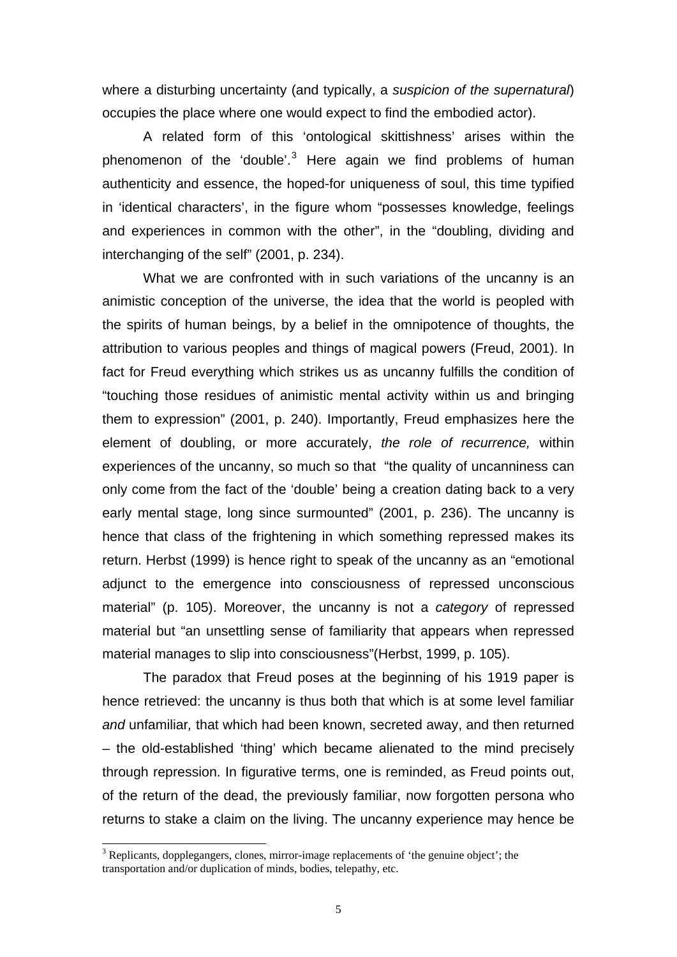where a disturbing uncertainty (and typically, a *suspicion of the supernatural*) occupies the place where one would expect to find the embodied actor).

A related form of this 'ontological skittishness' arises within the phenomenon of the 'double'. $3$  Here again we find problems of human authenticity and essence, the hoped-for uniqueness of soul, this time typified in 'identical characters', in the figure whom "possesses knowledge, feelings and experiences in common with the other", in the "doubling, dividing and interchanging of the self" (2001, p. 234).

What we are confronted with in such variations of the uncanny is an animistic conception of the universe, the idea that the world is peopled with the spirits of human beings, by a belief in the omnipotence of thoughts, the attribution to various peoples and things of magical powers (Freud, 2001). In fact for Freud everything which strikes us as uncanny fulfills the condition of "touching those residues of animistic mental activity within us and bringing them to expression" (2001, p. 240). Importantly, Freud emphasizes here the element of doubling, or more accurately, *the role of recurrence,* within experiences of the uncanny, so much so that "the quality of uncanniness can only come from the fact of the 'double' being a creation dating back to a very early mental stage, long since surmounted" (2001, p. 236). The uncanny is hence that class of the frightening in which something repressed makes its return. Herbst (1999) is hence right to speak of the uncanny as an "emotional adjunct to the emergence into consciousness of repressed unconscious material" (p. 105). Moreover, the uncanny is not a *category* of repressed material but "an unsettling sense of familiarity that appears when repressed material manages to slip into consciousness"(Herbst, 1999, p. 105).

The paradox that Freud poses at the beginning of his 1919 paper is hence retrieved: the uncanny is thus both that which is at some level familiar *and* unfamiliar*,* that which had been known, secreted away, and then returned – the old-established 'thing' which became alienated to the mind precisely through repression. In figurative terms, one is reminded, as Freud points out, of the return of the dead, the previously familiar, now forgotten persona who returns to stake a claim on the living. The uncanny experience may hence be

<span id="page-5-0"></span> $3$  Replicants, dopplegangers, clones, mirror-image replacements of 'the genuine object'; the transportation and/or duplication of minds, bodies, telepathy, etc.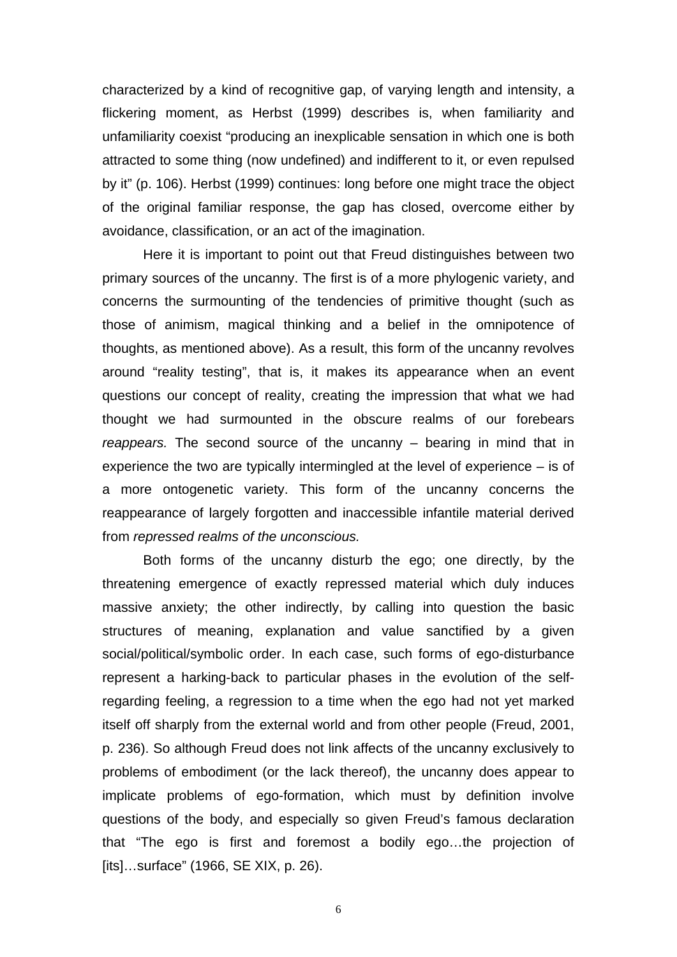characterized by a kind of recognitive gap, of varying length and intensity, a flickering moment, as Herbst (1999) describes is, when familiarity and unfamiliarity coexist "producing an inexplicable sensation in which one is both attracted to some thing (now undefined) and indifferent to it, or even repulsed by it" (p. 106). Herbst (1999) continues: long before one might trace the object of the original familiar response, the gap has closed, overcome either by avoidance, classification, or an act of the imagination.

Here it is important to point out that Freud distinguishes between two primary sources of the uncanny. The first is of a more phylogenic variety, and concerns the surmounting of the tendencies of primitive thought (such as those of animism, magical thinking and a belief in the omnipotence of thoughts, as mentioned above). As a result, this form of the uncanny revolves around "reality testing", that is, it makes its appearance when an event questions our concept of reality, creating the impression that what we had thought we had surmounted in the obscure realms of our forebears *reappears.* The second source of the uncanny – bearing in mind that in experience the two are typically intermingled at the level of experience – is of a more ontogenetic variety. This form of the uncanny concerns the reappearance of largely forgotten and inaccessible infantile material derived from *repressed realms of the unconscious.*

Both forms of the uncanny disturb the ego; one directly, by the threatening emergence of exactly repressed material which duly induces massive anxiety; the other indirectly, by calling into question the basic structures of meaning, explanation and value sanctified by a given social/political/symbolic order. In each case, such forms of ego-disturbance represent a harking-back to particular phases in the evolution of the selfregarding feeling, a regression to a time when the ego had not yet marked itself off sharply from the external world and from other people (Freud, 2001, p. 236). So although Freud does not link affects of the uncanny exclusively to problems of embodiment (or the lack thereof), the uncanny does appear to implicate problems of ego-formation, which must by definition involve questions of the body, and especially so given Freud's famous declaration that "The ego is first and foremost a bodily ego…the projection of [its]…surface" (1966, SE XIX, p. 26).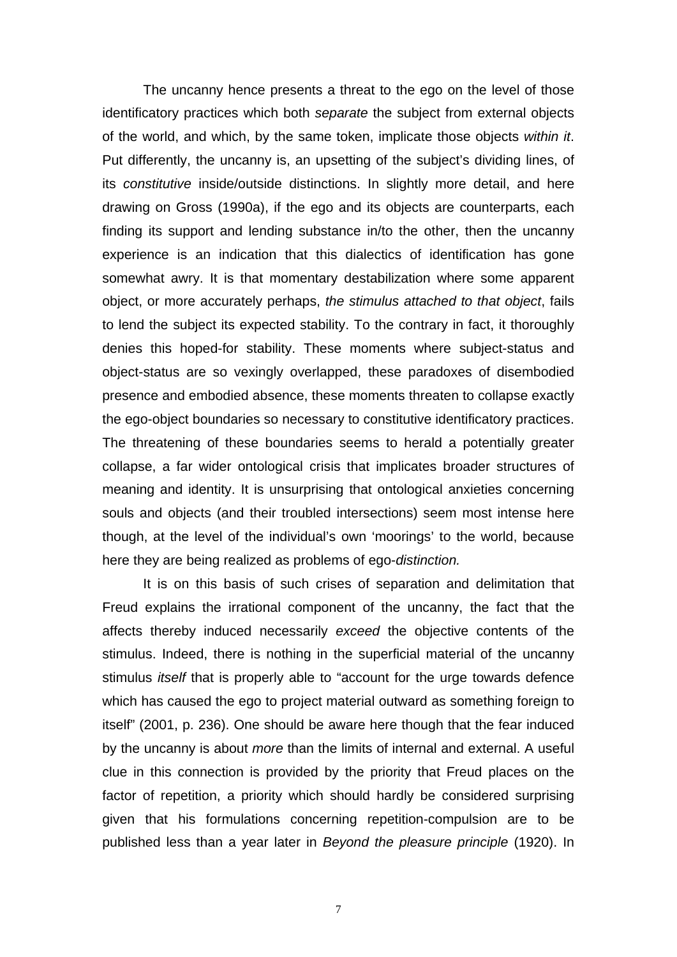The uncanny hence presents a threat to the ego on the level of those identificatory practices which both *separate* the subject from external objects of the world, and which, by the same token, implicate those objects *within it*. Put differently, the uncanny is, an upsetting of the subject's dividing lines, of its *constitutive* inside/outside distinctions. In slightly more detail, and here drawing on Gross (1990a), if the ego and its objects are counterparts, each finding its support and lending substance in/to the other, then the uncanny experience is an indication that this dialectics of identification has gone somewhat awry. It is that momentary destabilization where some apparent object, or more accurately perhaps, *the stimulus attached to that object*, fails to lend the subject its expected stability. To the contrary in fact, it thoroughly denies this hoped-for stability. These moments where subject-status and object-status are so vexingly overlapped, these paradoxes of disembodied presence and embodied absence, these moments threaten to collapse exactly the ego-object boundaries so necessary to constitutive identificatory practices. The threatening of these boundaries seems to herald a potentially greater collapse, a far wider ontological crisis that implicates broader structures of meaning and identity. It is unsurprising that ontological anxieties concerning souls and objects (and their troubled intersections) seem most intense here though, at the level of the individual's own 'moorings' to the world, because here they are being realized as problems of ego-*distinction.* 

It is on this basis of such crises of separation and delimitation that Freud explains the irrational component of the uncanny, the fact that the affects thereby induced necessarily *exceed* the objective contents of the stimulus. Indeed, there is nothing in the superficial material of the uncanny stimulus *itself* that is properly able to "account for the urge towards defence which has caused the ego to project material outward as something foreign to itself" (2001, p. 236). One should be aware here though that the fear induced by the uncanny is about *more* than the limits of internal and external. A useful clue in this connection is provided by the priority that Freud places on the factor of repetition, a priority which should hardly be considered surprising given that his formulations concerning repetition-compulsion are to be published less than a year later in *Beyond the pleasure principle* (1920). In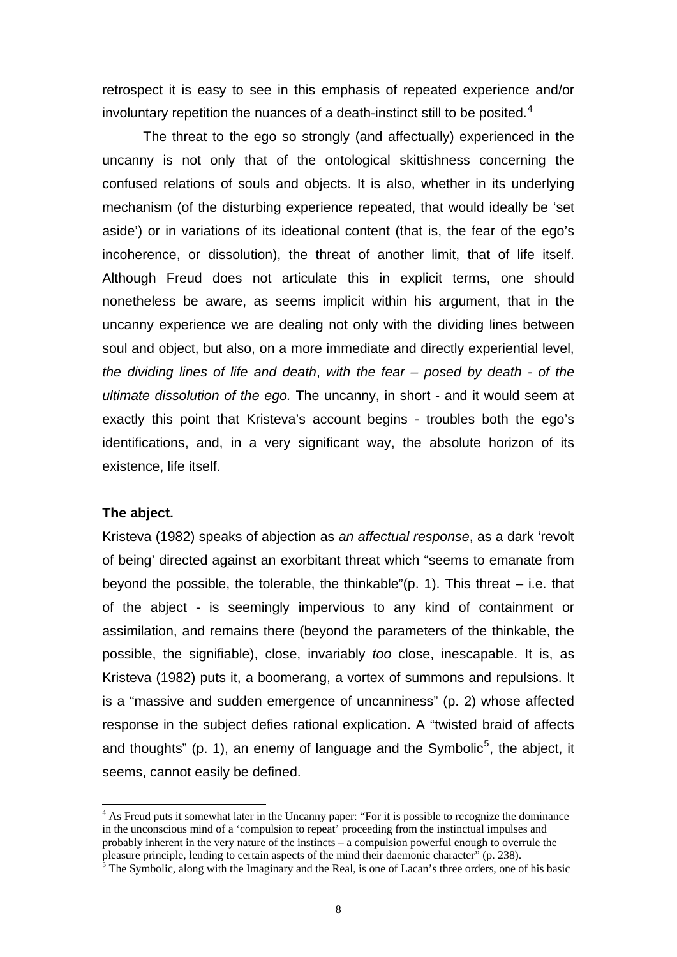retrospect it is easy to see in this emphasis of repeated experience and/or involuntary repetition the nuances of a death-instinct still to be posited. $4$ 

The threat to the ego so strongly (and affectually) experienced in the uncanny is not only that of the ontological skittishness concerning the confused relations of souls and objects. It is also, whether in its underlying mechanism (of the disturbing experience repeated, that would ideally be 'set aside') or in variations of its ideational content (that is, the fear of the ego's incoherence, or dissolution), the threat of another limit, that of life itself. Although Freud does not articulate this in explicit terms, one should nonetheless be aware, as seems implicit within his argument, that in the uncanny experience we are dealing not only with the dividing lines between soul and object, but also, on a more immediate and directly experiential level, *the dividing lines of life and death*, *with the fear – posed by death - of the ultimate dissolution of the ego.* The uncanny, in short - and it would seem at exactly this point that Kristeva's account begins - troubles both the ego's identifications, and, in a very significant way, the absolute horizon of its existence, life itself.

#### **The abject.**

-

Kristeva (1982) speaks of abjection as *an affectual response*, as a dark 'revolt of being' directed against an exorbitant threat which "seems to emanate from beyond the possible, the tolerable, the thinkable" $(p, 1)$ . This threat  $-$  i.e. that of the abject - is seemingly impervious to any kind of containment or assimilation, and remains there (beyond the parameters of the thinkable, the possible, the signifiable), close, invariably *too* close, inescapable. It is, as Kristeva (1982) puts it, a boomerang, a vortex of summons and repulsions. It is a "massive and sudden emergence of uncanniness" (p. 2) whose affected response in the subject defies rational explication. A "twisted braid of affects and thoughts" (p. 1), an enemy of language and the Symbolic<sup>[5](#page-8-1)</sup>, the abject, it seems, cannot easily be defined.

<span id="page-8-0"></span><sup>&</sup>lt;sup>4</sup> As Freud puts it somewhat later in the Uncanny paper: "For it is possible to recognize the dominance in the unconscious mind of a 'compulsion to repeat' proceeding from the instinctual impulses and probably inherent in the very nature of the instincts – a compulsion powerful enough to overrule the

<span id="page-8-1"></span>pleasure principle, lending to certain aspects of the mind their daemonic character" (p. 238).<br><sup>5</sup> The Symbolic, along with the Imaginary and the Real, is one of Lacan's three orders, one of his basic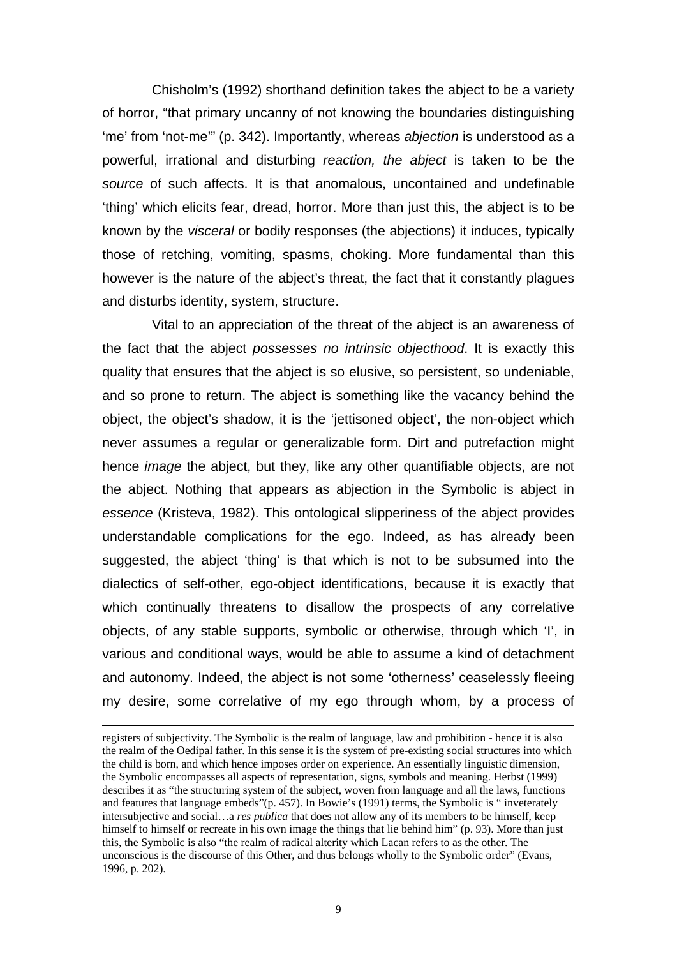Chisholm's (1992) shorthand definition takes the abject to be a variety of horror, "that primary uncanny of not knowing the boundaries distinguishing 'me' from 'not-me'" (p. 342). Importantly, whereas *abjection* is understood as a powerful, irrational and disturbing *reaction, the abject* is taken to be the *source* of such affects. It is that anomalous, uncontained and undefinable 'thing' which elicits fear, dread, horror. More than just this, the abject is to be known by the *visceral* or bodily responses (the abjections) it induces, typically those of retching, vomiting, spasms, choking. More fundamental than this however is the nature of the abject's threat, the fact that it constantly plagues and disturbs identity, system, structure.

 Vital to an appreciation of the threat of the abject is an awareness of the fact that the abject *possesses no intrinsic objecthood*. It is exactly this quality that ensures that the abject is so elusive, so persistent, so undeniable, and so prone to return. The abject is something like the vacancy behind the object, the object's shadow, it is the 'jettisoned object', the non-object which never assumes a regular or generalizable form. Dirt and putrefaction might hence *image* the abject, but they, like any other quantifiable objects, are not the abject. Nothing that appears as abjection in the Symbolic is abject in *essence* (Kristeva, 1982). This ontological slipperiness of the abject provides understandable complications for the ego. Indeed, as has already been suggested, the abject 'thing' is that which is not to be subsumed into the dialectics of self-other, ego-object identifications, because it is exactly that which continually threatens to disallow the prospects of any correlative objects, of any stable supports, symbolic or otherwise, through which 'I', in various and conditional ways, would be able to assume a kind of detachment and autonomy. Indeed, the abject is not some 'otherness' ceaselessly fleeing my desire, some correlative of my ego through whom, by a process of

registers of subjectivity. The Symbolic is the realm of language, law and prohibition - hence it is also the realm of the Oedipal father. In this sense it is the system of pre-existing social structures into which the child is born, and which hence imposes order on experience. An essentially linguistic dimension, the Symbolic encompasses all aspects of representation, signs, symbols and meaning. Herbst (1999) describes it as "the structuring system of the subject, woven from language and all the laws, functions and features that language embeds"(p. 457). In Bowie's (1991) terms, the Symbolic is " inveterately intersubjective and social…a *res publica* that does not allow any of its members to be himself, keep himself to himself or recreate in his own image the things that lie behind him" (p. 93). More than just this, the Symbolic is also "the realm of radical alterity which Lacan refers to as the other. The unconscious is the discourse of this Other, and thus belongs wholly to the Symbolic order" (Evans, 1996, p. 202).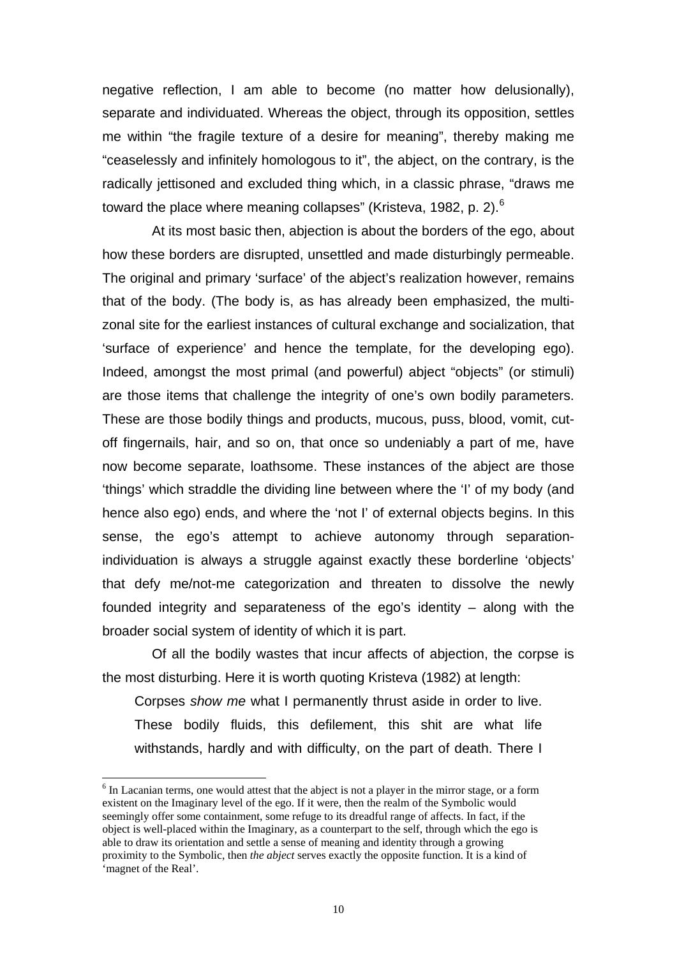negative reflection, I am able to become (no matter how delusionally), separate and individuated. Whereas the object, through its opposition, settles me within "the fragile texture of a desire for meaning", thereby making me "ceaselessly and infinitely homologous to it", the abject, on the contrary, is the radically jettisoned and excluded thing which, in a classic phrase, "draws me toward the place where meaning collapses" (Kristeva, 1982, p. 2).<sup>[6](#page-10-0)</sup>

 At its most basic then, abjection is about the borders of the ego, about how these borders are disrupted, unsettled and made disturbingly permeable. The original and primary 'surface' of the abject's realization however, remains that of the body. (The body is, as has already been emphasized, the multizonal site for the earliest instances of cultural exchange and socialization, that 'surface of experience' and hence the template, for the developing ego). Indeed, amongst the most primal (and powerful) abject "objects" (or stimuli) are those items that challenge the integrity of one's own bodily parameters. These are those bodily things and products, mucous, puss, blood, vomit, cutoff fingernails, hair, and so on, that once so undeniably a part of me, have now become separate, loathsome. These instances of the abject are those 'things' which straddle the dividing line between where the 'I' of my body (and hence also ego) ends, and where the 'not I' of external objects begins. In this sense, the ego's attempt to achieve autonomy through separationindividuation is always a struggle against exactly these borderline 'objects' that defy me/not-me categorization and threaten to dissolve the newly founded integrity and separateness of the ego's identity – along with the broader social system of identity of which it is part.

 Of all the bodily wastes that incur affects of abjection, the corpse is the most disturbing. Here it is worth quoting Kristeva (1982) at length:

Corpses *show me* what I permanently thrust aside in order to live. These bodily fluids, this defilement, this shit are what life withstands, hardly and with difficulty, on the part of death. There I

<span id="page-10-0"></span><sup>&</sup>lt;sup>6</sup> In Lacanian terms, one would attest that the abject is not a player in the mirror stage, or a form existent on the Imaginary level of the ego. If it were, then the realm of the Symbolic would seemingly offer some containment, some refuge to its dreadful range of affects. In fact, if the object is well-placed within the Imaginary, as a counterpart to the self, through which the ego is able to draw its orientation and settle a sense of meaning and identity through a growing proximity to the Symbolic, then *the abject* serves exactly the opposite function. It is a kind of 'magnet of the Real'.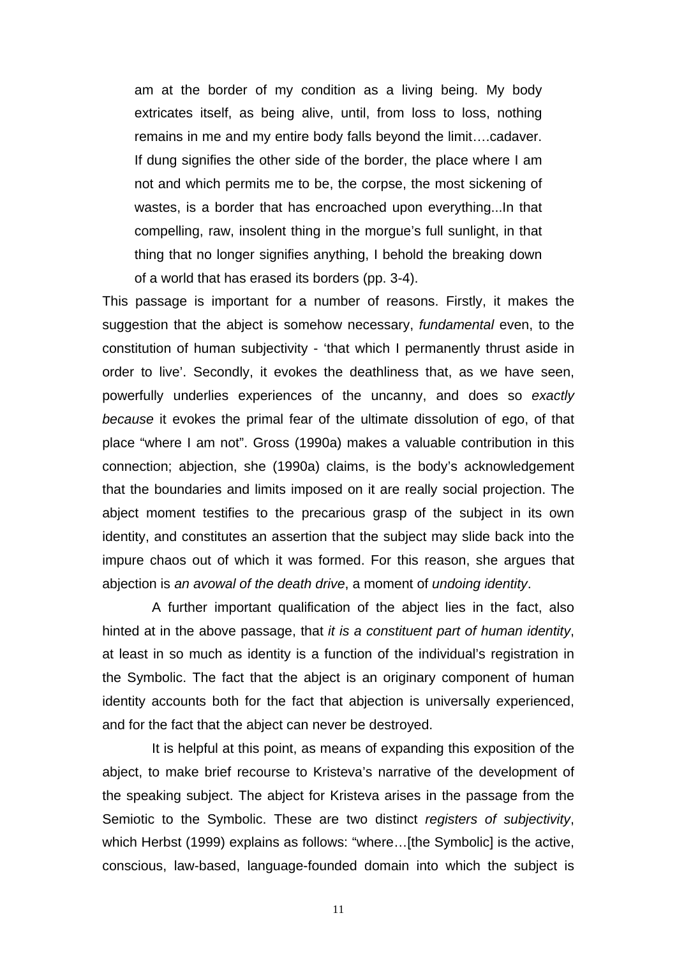am at the border of my condition as a living being. My body extricates itself, as being alive, until, from loss to loss, nothing remains in me and my entire body falls beyond the limit….cadaver. If dung signifies the other side of the border, the place where I am not and which permits me to be, the corpse, the most sickening of wastes, is a border that has encroached upon everything...In that compelling, raw, insolent thing in the morgue's full sunlight, in that thing that no longer signifies anything, I behold the breaking down of a world that has erased its borders (pp. 3-4).

This passage is important for a number of reasons. Firstly, it makes the suggestion that the abject is somehow necessary, *fundamental* even, to the constitution of human subjectivity - 'that which I permanently thrust aside in order to live'. Secondly, it evokes the deathliness that, as we have seen, powerfully underlies experiences of the uncanny, and does so *exactly because* it evokes the primal fear of the ultimate dissolution of ego, of that place "where I am not". Gross (1990a) makes a valuable contribution in this connection; abjection, she (1990a) claims, is the body's acknowledgement that the boundaries and limits imposed on it are really social projection. The abject moment testifies to the precarious grasp of the subject in its own identity, and constitutes an assertion that the subject may slide back into the impure chaos out of which it was formed. For this reason, she argues that abjection is *an avowal of the death drive*, a moment of *undoing identity*.

 A further important qualification of the abject lies in the fact, also hinted at in the above passage, that *it is a constituent part of human identity*, at least in so much as identity is a function of the individual's registration in the Symbolic. The fact that the abject is an originary component of human identity accounts both for the fact that abjection is universally experienced, and for the fact that the abject can never be destroyed.

 It is helpful at this point, as means of expanding this exposition of the abject, to make brief recourse to Kristeva's narrative of the development of the speaking subject. The abject for Kristeva arises in the passage from the Semiotic to the Symbolic. These are two distinct *registers of subjectivity*, which Herbst (1999) explains as follows: "where…[the Symbolic] is the active, conscious, law-based, language-founded domain into which the subject is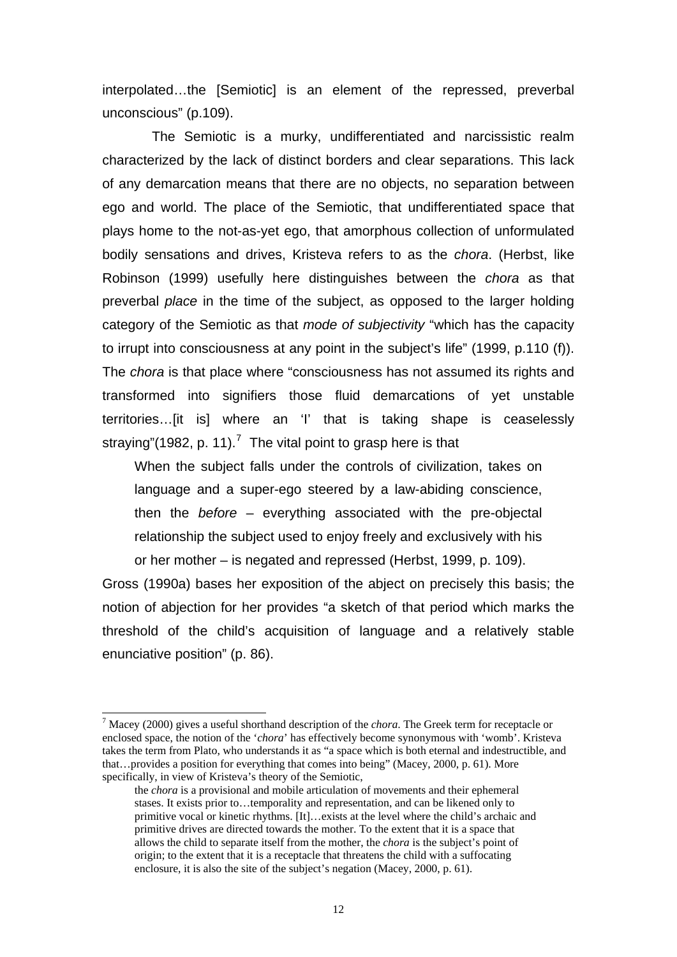interpolated…the [Semiotic] is an element of the repressed, preverbal unconscious" (p.109).

 The Semiotic is a murky, undifferentiated and narcissistic realm characterized by the lack of distinct borders and clear separations. This lack of any demarcation means that there are no objects, no separation between ego and world. The place of the Semiotic, that undifferentiated space that plays home to the not-as-yet ego, that amorphous collection of unformulated bodily sensations and drives, Kristeva refers to as the *chora*. (Herbst, like Robinson (1999) usefully here distinguishes between the *chora* as that preverbal *place* in the time of the subject, as opposed to the larger holding category of the Semiotic as that *mode of subjectivity* "which has the capacity to irrupt into consciousness at any point in the subject's life" (1999, p.110 (f)). The *chora* is that place where "consciousness has not assumed its rights and transformed into signifiers those fluid demarcations of yet unstable territories…[it is] where an 'I' that is taking shape is ceaselessly straying"(1982, p. 11).<sup>[7](#page-12-0)</sup> The vital point to grasp here is that

When the subject falls under the controls of civilization, takes on language and a super-ego steered by a law-abiding conscience, then the *before* – everything associated with the pre-objectal relationship the subject used to enjoy freely and exclusively with his

or her mother – is negated and repressed (Herbst, 1999, p. 109).

Gross (1990a) bases her exposition of the abject on precisely this basis; the notion of abjection for her provides "a sketch of that period which marks the threshold of the child's acquisition of language and a relatively stable enunciative position" (p. 86).

<span id="page-12-0"></span><sup>7</sup> Macey (2000) gives a useful shorthand description of the *chora*. The Greek term for receptacle or enclosed space, the notion of the '*chora*' has effectively become synonymous with 'womb'. Kristeva takes the term from Plato, who understands it as "a space which is both eternal and indestructible, and that…provides a position for everything that comes into being" (Macey, 2000, p. 61). More specifically, in view of Kristeva's theory of the Semiotic,

the *chora* is a provisional and mobile articulation of movements and their ephemeral stases. It exists prior to…temporality and representation, and can be likened only to primitive vocal or kinetic rhythms. [It]…exists at the level where the child's archaic and primitive drives are directed towards the mother. To the extent that it is a space that allows the child to separate itself from the mother, the *chora* is the subject's point of origin; to the extent that it is a receptacle that threatens the child with a suffocating enclosure, it is also the site of the subject's negation (Macey, 2000, p. 61).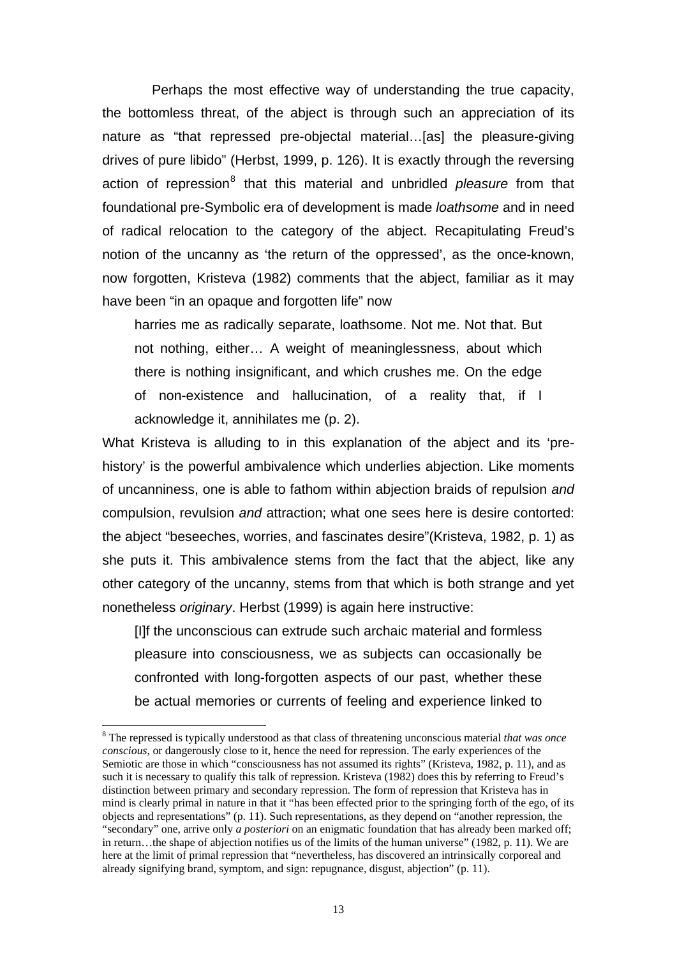Perhaps the most effective way of understanding the true capacity, the bottomless threat, of the abject is through such an appreciation of its nature as "that repressed pre-objectal material…[as] the pleasure-giving drives of pure libido" (Herbst, 1999, p. 126). It is exactly through the reversing action of repression<sup>[8](#page-13-0)</sup> that this material and unbridled *pleasure* from that foundational pre-Symbolic era of development is made *loathsome* and in need of radical relocation to the category of the abject. Recapitulating Freud's notion of the uncanny as 'the return of the oppressed', as the once-known, now forgotten, Kristeva (1982) comments that the abject, familiar as it may have been "in an opaque and forgotten life" now

harries me as radically separate, loathsome. Not me. Not that. But not nothing, either… A weight of meaninglessness, about which there is nothing insignificant, and which crushes me. On the edge of non-existence and hallucination, of a reality that, if I acknowledge it, annihilates me (p. 2).

What Kristeva is alluding to in this explanation of the abject and its 'prehistory' is the powerful ambivalence which underlies abjection. Like moments of uncanniness, one is able to fathom within abjection braids of repulsion *and* compulsion, revulsion *and* attraction; what one sees here is desire contorted: the abject "beseeches, worries, and fascinates desire"(Kristeva, 1982, p. 1) as she puts it. This ambivalence stems from the fact that the abject, like any other category of the uncanny, stems from that which is both strange and yet nonetheless *originary*. Herbst (1999) is again here instructive:

[I]f the unconscious can extrude such archaic material and formless pleasure into consciousness, we as subjects can occasionally be confronted with long-forgotten aspects of our past, whether these be actual memories or currents of feeling and experience linked to

<span id="page-13-0"></span><sup>8</sup> The repressed is typically understood as that class of threatening unconscious material *that was once conscious*, or dangerously close to it, hence the need for repression. The early experiences of the Semiotic are those in which "consciousness has not assumed its rights" (Kristeva, 1982, p. 11), and as such it is necessary to qualify this talk of repression. Kristeva (1982) does this by referring to Freud's distinction between primary and secondary repression. The form of repression that Kristeva has in mind is clearly primal in nature in that it "has been effected prior to the springing forth of the ego, of its objects and representations" (p. 11). Such representations, as they depend on "another repression, the "secondary" one, arrive only *a posteriori* on an enigmatic foundation that has already been marked off; in return…the shape of abjection notifies us of the limits of the human universe" (1982, p. 11). We are here at the limit of primal repression that "nevertheless, has discovered an intrinsically corporeal and already signifying brand, symptom, and sign: repugnance, disgust, abjection" (p. 11).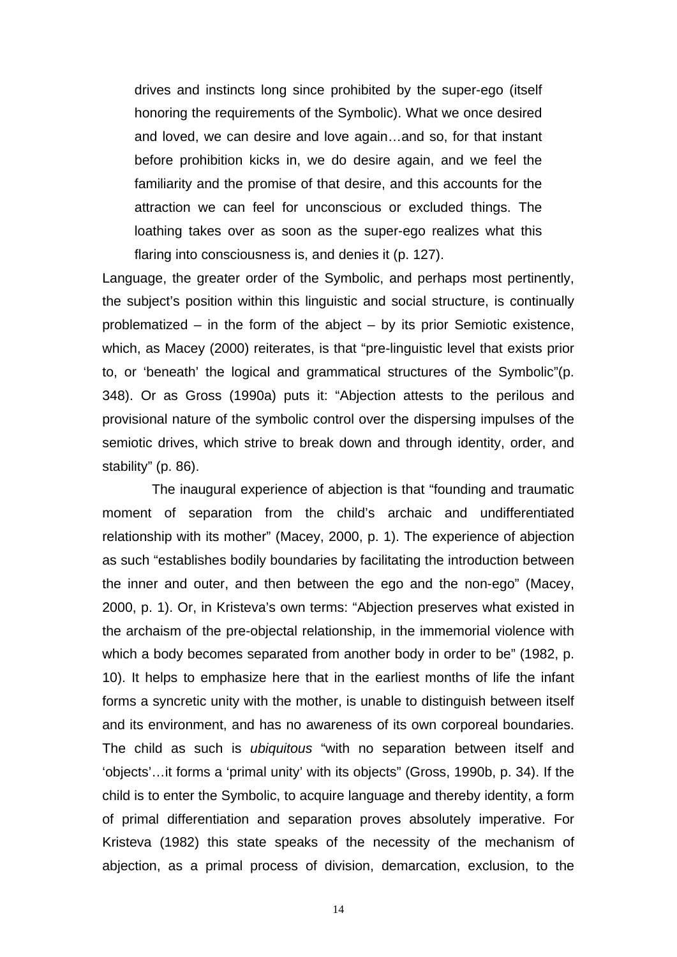drives and instincts long since prohibited by the super-ego (itself honoring the requirements of the Symbolic). What we once desired and loved, we can desire and love again…and so, for that instant before prohibition kicks in, we do desire again, and we feel the familiarity and the promise of that desire, and this accounts for the attraction we can feel for unconscious or excluded things. The loathing takes over as soon as the super-ego realizes what this flaring into consciousness is, and denies it (p. 127).

Language, the greater order of the Symbolic, and perhaps most pertinently, the subject's position within this linguistic and social structure, is continually problematized – in the form of the abject – by its prior Semiotic existence, which, as Macey (2000) reiterates, is that "pre-linguistic level that exists prior to, or 'beneath' the logical and grammatical structures of the Symbolic"(p. 348). Or as Gross (1990a) puts it: "Abjection attests to the perilous and provisional nature of the symbolic control over the dispersing impulses of the semiotic drives, which strive to break down and through identity, order, and stability" (p. 86).

 The inaugural experience of abjection is that "founding and traumatic moment of separation from the child's archaic and undifferentiated relationship with its mother" (Macey, 2000, p. 1). The experience of abjection as such "establishes bodily boundaries by facilitating the introduction between the inner and outer, and then between the ego and the non-ego" (Macey, 2000, p. 1). Or, in Kristeva's own terms: "Abjection preserves what existed in the archaism of the pre-objectal relationship, in the immemorial violence with which a body becomes separated from another body in order to be" (1982, p. 10). It helps to emphasize here that in the earliest months of life the infant forms a syncretic unity with the mother, is unable to distinguish between itself and its environment, and has no awareness of its own corporeal boundaries. The child as such is *ubiquitous* "with no separation between itself and 'objects'…it forms a 'primal unity' with its objects" (Gross, 1990b, p. 34). If the child is to enter the Symbolic, to acquire language and thereby identity, a form of primal differentiation and separation proves absolutely imperative. For Kristeva (1982) this state speaks of the necessity of the mechanism of abjection, as a primal process of division, demarcation, exclusion, to the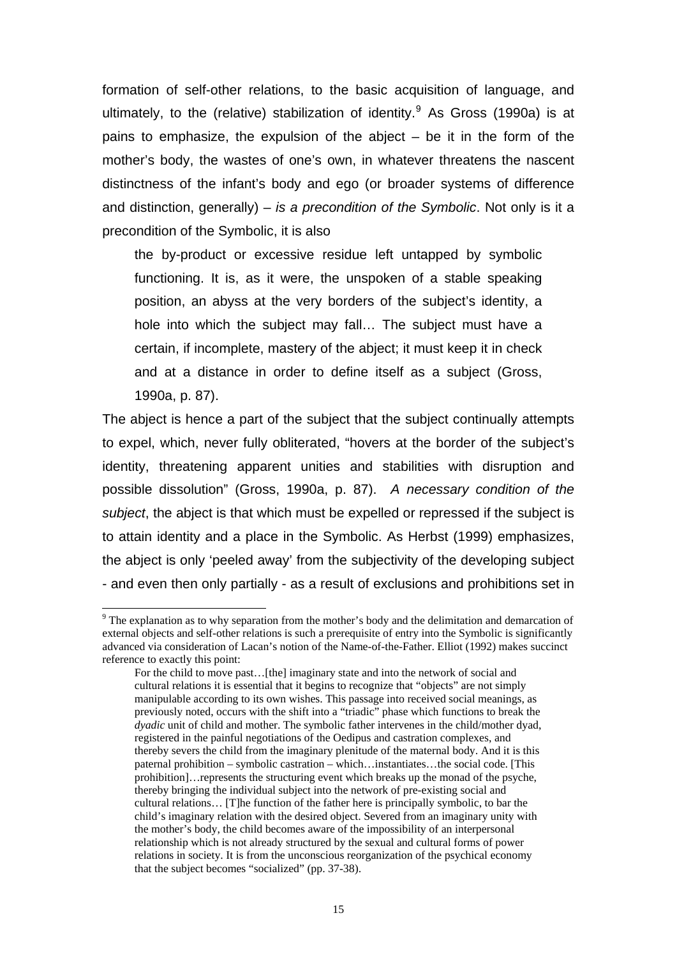formation of self-other relations, to the basic acquisition of language, and ultimately, to the (relative) stabilization of identity. $9$  As Gross (1990a) is at pains to emphasize, the expulsion of the abject – be it in the form of the mother's body, the wastes of one's own, in whatever threatens the nascent distinctness of the infant's body and ego (or broader systems of difference and distinction, generally) – *is a precondition of the Symbolic*. Not only is it a precondition of the Symbolic, it is also

the by-product or excessive residue left untapped by symbolic functioning. It is, as it were, the unspoken of a stable speaking position, an abyss at the very borders of the subject's identity, a hole into which the subject may fall… The subject must have a certain, if incomplete, mastery of the abject; it must keep it in check and at a distance in order to define itself as a subject (Gross, 1990a, p. 87).

The abject is hence a part of the subject that the subject continually attempts to expel, which, never fully obliterated, "hovers at the border of the subject's identity, threatening apparent unities and stabilities with disruption and possible dissolution" (Gross, 1990a, p. 87). *A necessary condition of the subject*, the abject is that which must be expelled or repressed if the subject is to attain identity and a place in the Symbolic. As Herbst (1999) emphasizes, the abject is only 'peeled away' from the subjectivity of the developing subject - and even then only partially - as a result of exclusions and prohibitions set in

<span id="page-15-0"></span>The explanation as to why separation from the mother's body and the delimitation and demarcation of external objects and self-other relations is such a prerequisite of entry into the Symbolic is significantly advanced via consideration of Lacan's notion of the Name-of-the-Father. Elliot (1992) makes succinct reference to exactly this point:

For the child to move past... [the] imaginary state and into the network of social and cultural relations it is essential that it begins to recognize that "objects" are not simply manipulable according to its own wishes. This passage into received social meanings, as previously noted, occurs with the shift into a "triadic" phase which functions to break the *dyadic* unit of child and mother. The symbolic father intervenes in the child/mother dyad, registered in the painful negotiations of the Oedipus and castration complexes, and thereby severs the child from the imaginary plenitude of the maternal body. And it is this paternal prohibition – symbolic castration – which…instantiates…the social code. [This prohibition]…represents the structuring event which breaks up the monad of the psyche, thereby bringing the individual subject into the network of pre-existing social and cultural relations… [T]he function of the father here is principally symbolic, to bar the child's imaginary relation with the desired object. Severed from an imaginary unity with the mother's body, the child becomes aware of the impossibility of an interpersonal relationship which is not already structured by the sexual and cultural forms of power relations in society. It is from the unconscious reorganization of the psychical economy that the subject becomes "socialized" (pp. 37-38).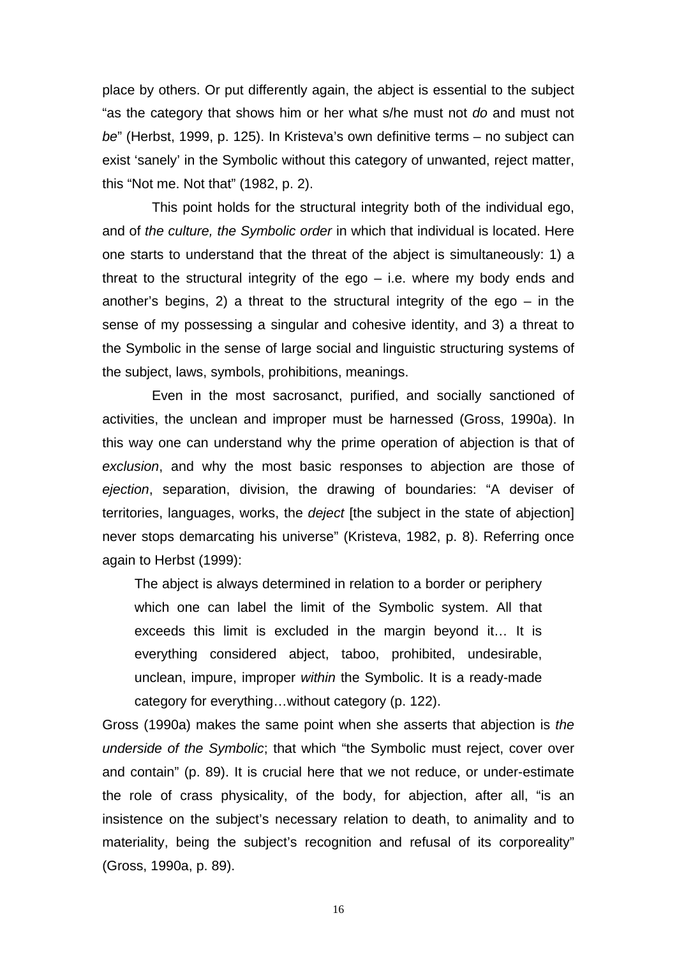place by others. Or put differently again, the abject is essential to the subject "as the category that shows him or her what s/he must not *do* and must not *be*" (Herbst, 1999, p. 125). In Kristeva's own definitive terms – no subject can exist 'sanely' in the Symbolic without this category of unwanted, reject matter, this "Not me. Not that" (1982, p. 2).

 This point holds for the structural integrity both of the individual ego, and of *the culture, the Symbolic order* in which that individual is located. Here one starts to understand that the threat of the abject is simultaneously: 1) a threat to the structural integrity of the ego – i.e. where my body ends and another's begins, 2) a threat to the structural integrity of the ego  $-$  in the sense of my possessing a singular and cohesive identity, and 3) a threat to the Symbolic in the sense of large social and linguistic structuring systems of the subject, laws, symbols, prohibitions, meanings.

 Even in the most sacrosanct, purified, and socially sanctioned of activities, the unclean and improper must be harnessed (Gross, 1990a). In this way one can understand why the prime operation of abjection is that of *exclusion*, and why the most basic responses to abjection are those of *ejection*, separation, division, the drawing of boundaries: "A deviser of territories, languages, works, the *deject* [the subject in the state of abjection] never stops demarcating his universe" (Kristeva, 1982, p. 8). Referring once again to Herbst (1999):

The abject is always determined in relation to a border or periphery which one can label the limit of the Symbolic system. All that exceeds this limit is excluded in the margin beyond it… It is everything considered abject, taboo, prohibited, undesirable, unclean, impure, improper *within* the Symbolic. It is a ready-made category for everything…without category (p. 122).

Gross (1990a) makes the same point when she asserts that abjection is *the underside of the Symbolic*; that which "the Symbolic must reject, cover over and contain" (p. 89). It is crucial here that we not reduce, or under-estimate the role of crass physicality, of the body, for abjection, after all, "is an insistence on the subject's necessary relation to death, to animality and to materiality, being the subject's recognition and refusal of its corporeality" (Gross, 1990a, p. 89).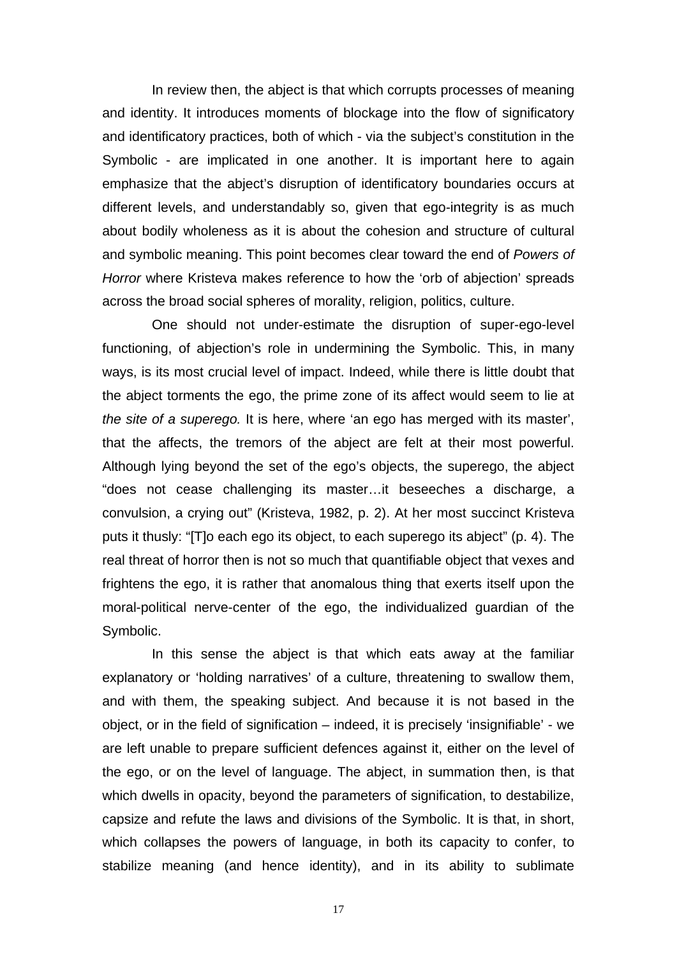In review then, the abject is that which corrupts processes of meaning and identity. It introduces moments of blockage into the flow of significatory and identificatory practices, both of which - via the subject's constitution in the Symbolic - are implicated in one another. It is important here to again emphasize that the abject's disruption of identificatory boundaries occurs at different levels, and understandably so, given that ego-integrity is as much about bodily wholeness as it is about the cohesion and structure of cultural and symbolic meaning. This point becomes clear toward the end of *Powers of Horror* where Kristeva makes reference to how the 'orb of abjection' spreads across the broad social spheres of morality, religion, politics, culture.

 One should not under-estimate the disruption of super-ego-level functioning, of abjection's role in undermining the Symbolic. This, in many ways, is its most crucial level of impact. Indeed, while there is little doubt that the abject torments the ego, the prime zone of its affect would seem to lie at *the site of a superego.* It is here, where 'an ego has merged with its master', that the affects, the tremors of the abject are felt at their most powerful. Although lying beyond the set of the ego's objects, the superego, the abject "does not cease challenging its master…it beseeches a discharge, a convulsion, a crying out" (Kristeva, 1982, p. 2). At her most succinct Kristeva puts it thusly: "[T]o each ego its object, to each superego its abject" (p. 4). The real threat of horror then is not so much that quantifiable object that vexes and frightens the ego, it is rather that anomalous thing that exerts itself upon the moral-political nerve-center of the ego, the individualized guardian of the Symbolic.

 In this sense the abject is that which eats away at the familiar explanatory or 'holding narratives' of a culture, threatening to swallow them, and with them, the speaking subject. And because it is not based in the object, or in the field of signification – indeed, it is precisely 'insignifiable' - we are left unable to prepare sufficient defences against it, either on the level of the ego, or on the level of language. The abject, in summation then, is that which dwells in opacity, beyond the parameters of signification, to destabilize, capsize and refute the laws and divisions of the Symbolic. It is that, in short, which collapses the powers of language, in both its capacity to confer, to stabilize meaning (and hence identity), and in its ability to sublimate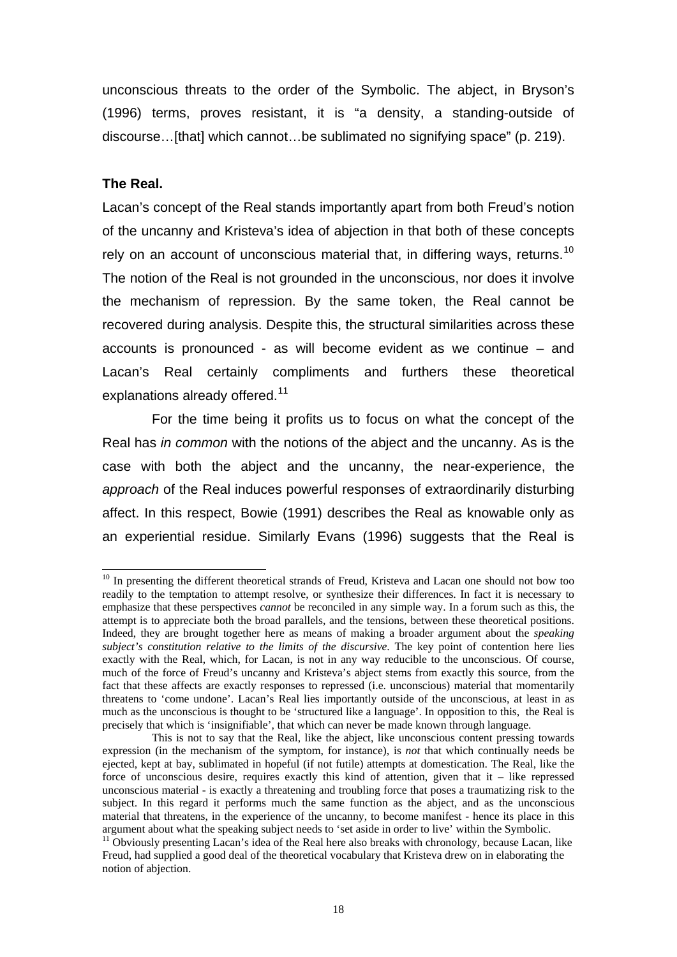unconscious threats to the order of the Symbolic. The abject, in Bryson's (1996) terms, proves resistant, it is "a density, a standing-outside of discourse…[that] which cannot…be sublimated no signifying space" (p. 219).

#### **The Real.**

-

Lacan's concept of the Real stands importantly apart from both Freud's notion of the uncanny and Kristeva's idea of abjection in that both of these concepts rely on an account of unconscious material that, in differing ways, returns.<sup>[10](#page-18-0)</sup> The notion of the Real is not grounded in the unconscious, nor does it involve the mechanism of repression. By the same token, the Real cannot be recovered during analysis. Despite this, the structural similarities across these accounts is pronounced - as will become evident as we continue – and Lacan's Real certainly compliments and furthers these theoretical explanations already offered.<sup>[11](#page-18-1)</sup>

 For the time being it profits us to focus on what the concept of the Real has *in common* with the notions of the abject and the uncanny. As is the case with both the abject and the uncanny, the near-experience, the *approach* of the Real induces powerful responses of extraordinarily disturbing affect. In this respect, Bowie (1991) describes the Real as knowable only as an experiential residue. Similarly Evans (1996) suggests that the Real is

<span id="page-18-0"></span><sup>&</sup>lt;sup>10</sup> In presenting the different theoretical strands of Freud, Kristeva and Lacan one should not bow too readily to the temptation to attempt resolve, or synthesize their differences. In fact it is necessary to emphasize that these perspectives *cannot* be reconciled in any simple way. In a forum such as this, the attempt is to appreciate both the broad parallels, and the tensions, between these theoretical positions. Indeed, they are brought together here as means of making a broader argument about the *speaking subject's constitution relative to the limits of the discursive*. The key point of contention here lies exactly with the Real, which, for Lacan, is not in any way reducible to the unconscious. Of course, much of the force of Freud's uncanny and Kristeva's abject stems from exactly this source, from the fact that these affects are exactly responses to repressed (i.e. unconscious) material that momentarily threatens to 'come undone'. Lacan's Real lies importantly outside of the unconscious, at least in as much as the unconscious is thought to be 'structured like a language'. In opposition to this, the Real is precisely that which is 'insignifiable', that which can never be made known through language.

This is not to say that the Real, like the abject, like unconscious content pressing towards expression (in the mechanism of the symptom, for instance), is *not* that which continually needs be ejected, kept at bay, sublimated in hopeful (if not futile) attempts at domestication. The Real, like the force of unconscious desire, requires exactly this kind of attention, given that it – like repressed unconscious material - is exactly a threatening and troubling force that poses a traumatizing risk to the subject. In this regard it performs much the same function as the abject, and as the unconscious material that threatens, in the experience of the uncanny, to become manifest - hence its place in this argument about what the speaking subject needs to 'set aside in order to live' within the Symbolic. 11 Obviously presenting Lacan's idea of the Real here also breaks with chronology, because Lacan, like

<span id="page-18-1"></span>Freud, had supplied a good deal of the theoretical vocabulary that Kristeva drew on in elaborating the notion of abjection.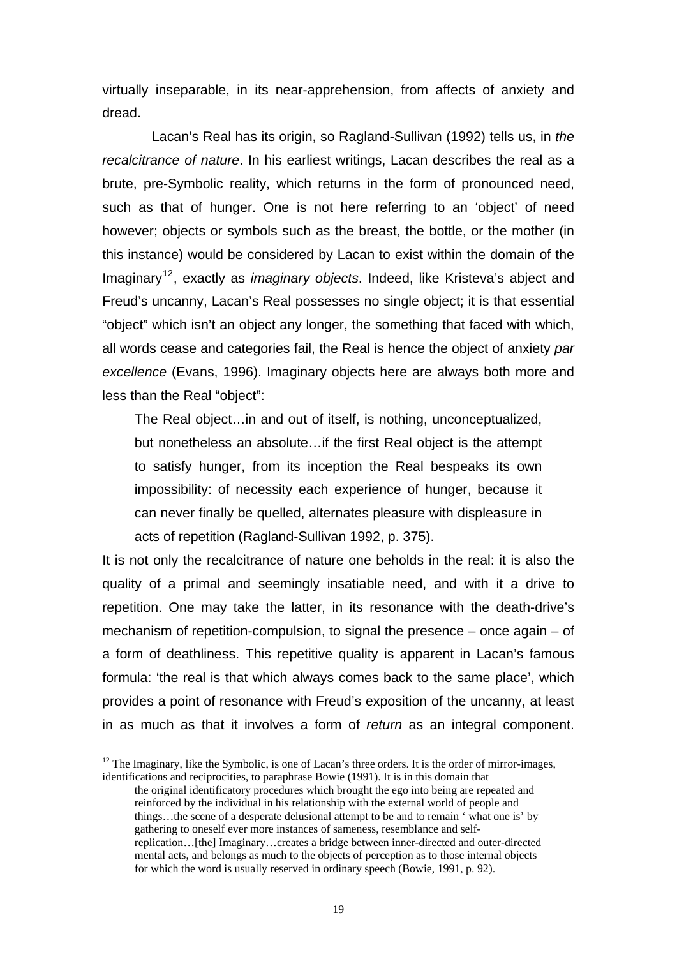virtually inseparable, in its near-apprehension, from affects of anxiety and dread.

 Lacan's Real has its origin, so Ragland-Sullivan (1992) tells us, in *the recalcitrance of nature*. In his earliest writings, Lacan describes the real as a brute, pre-Symbolic reality, which returns in the form of pronounced need, such as that of hunger. One is not here referring to an 'object' of need however; objects or symbols such as the breast, the bottle, or the mother (in this instance) would be considered by Lacan to exist within the domain of the Imaginary[12](#page-19-0), exactly as *imaginary objects*. Indeed, like Kristeva's abject and Freud's uncanny, Lacan's Real possesses no single object; it is that essential "object" which isn't an object any longer, the something that faced with which, all words cease and categories fail, the Real is hence the object of anxiety *par excellence* (Evans, 1996). Imaginary objects here are always both more and less than the Real "object":

The Real object…in and out of itself, is nothing, unconceptualized, but nonetheless an absolute…if the first Real object is the attempt to satisfy hunger, from its inception the Real bespeaks its own impossibility: of necessity each experience of hunger, because it can never finally be quelled, alternates pleasure with displeasure in acts of repetition (Ragland-Sullivan 1992, p. 375).

It is not only the recalcitrance of nature one beholds in the real: it is also the quality of a primal and seemingly insatiable need, and with it a drive to repetition. One may take the latter, in its resonance with the death-drive's mechanism of repetition-compulsion, to signal the presence – once again – of a form of deathliness. This repetitive quality is apparent in Lacan's famous formula: 'the real is that which always comes back to the same place', which provides a point of resonance with Freud's exposition of the uncanny, at least in as much as that it involves a form of *return* as an integral component.

<span id="page-19-0"></span> $12$  The Imaginary, like the Symbolic, is one of Lacan's three orders. It is the order of mirror-images, identifications and reciprocities, to paraphrase Bowie (1991). It is in this domain that

the original identificatory procedures which brought the ego into being are repeated and reinforced by the individual in his relationship with the external world of people and things…the scene of a desperate delusional attempt to be and to remain ' what one is' by gathering to oneself ever more instances of sameness, resemblance and selfreplication…[the] Imaginary…creates a bridge between inner-directed and outer-directed mental acts, and belongs as much to the objects of perception as to those internal objects for which the word is usually reserved in ordinary speech (Bowie, 1991, p. 92).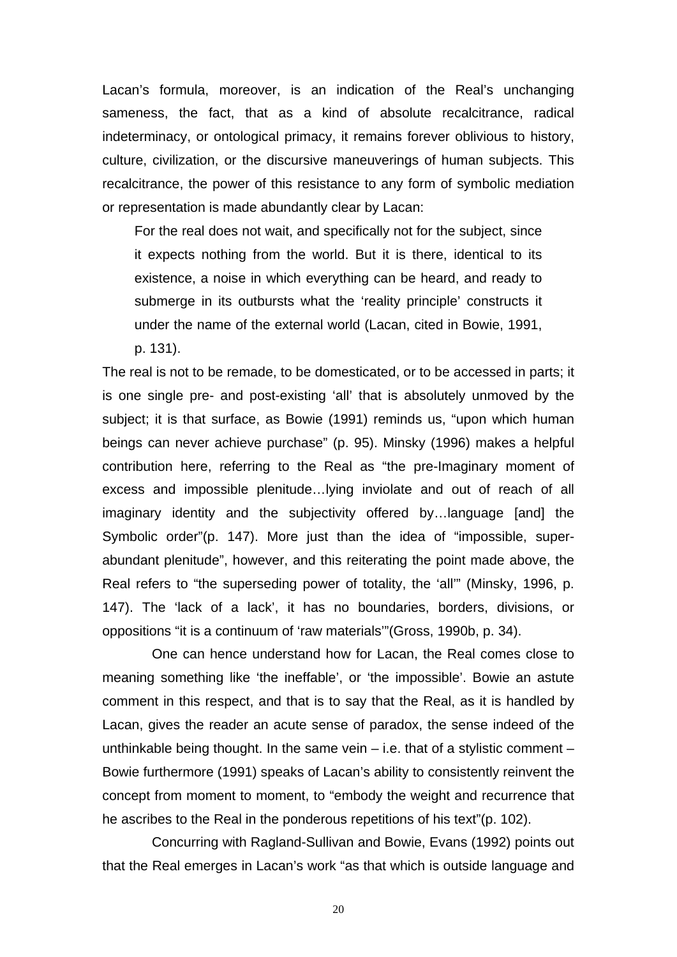Lacan's formula, moreover, is an indication of the Real's unchanging sameness, the fact, that as a kind of absolute recalcitrance, radical indeterminacy, or ontological primacy, it remains forever oblivious to history, culture, civilization, or the discursive maneuverings of human subjects. This recalcitrance, the power of this resistance to any form of symbolic mediation or representation is made abundantly clear by Lacan:

For the real does not wait, and specifically not for the subject, since it expects nothing from the world. But it is there, identical to its existence, a noise in which everything can be heard, and ready to submerge in its outbursts what the 'reality principle' constructs it under the name of the external world (Lacan, cited in Bowie, 1991, p. 131).

The real is not to be remade, to be domesticated, or to be accessed in parts; it is one single pre- and post-existing 'all' that is absolutely unmoved by the subject; it is that surface, as Bowie (1991) reminds us, "upon which human beings can never achieve purchase" (p. 95). Minsky (1996) makes a helpful contribution here, referring to the Real as "the pre-Imaginary moment of excess and impossible plenitude…lying inviolate and out of reach of all imaginary identity and the subjectivity offered by…language [and] the Symbolic order"(p. 147). More just than the idea of "impossible, superabundant plenitude", however, and this reiterating the point made above, the Real refers to "the superseding power of totality, the 'all'" (Minsky, 1996, p. 147). The 'lack of a lack', it has no boundaries, borders, divisions, or oppositions "it is a continuum of 'raw materials'"(Gross, 1990b, p. 34).

 One can hence understand how for Lacan, the Real comes close to meaning something like 'the ineffable', or 'the impossible'. Bowie an astute comment in this respect, and that is to say that the Real, as it is handled by Lacan, gives the reader an acute sense of paradox, the sense indeed of the unthinkable being thought. In the same vein – i.e. that of a stylistic comment – Bowie furthermore (1991) speaks of Lacan's ability to consistently reinvent the concept from moment to moment, to "embody the weight and recurrence that he ascribes to the Real in the ponderous repetitions of his text"(p. 102).

 Concurring with Ragland-Sullivan and Bowie, Evans (1992) points out that the Real emerges in Lacan's work "as that which is outside language and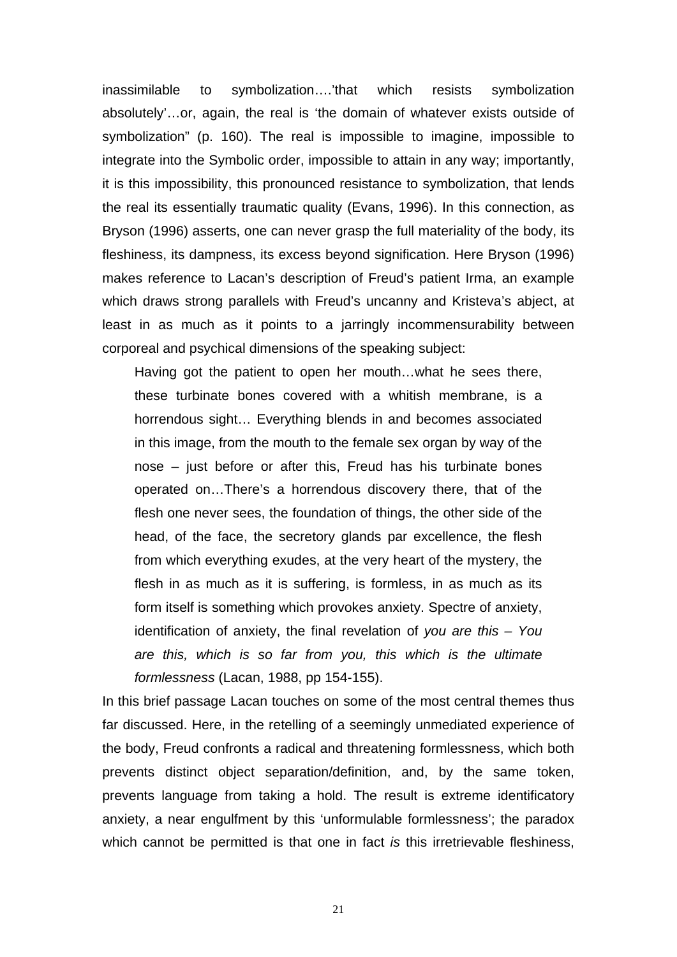inassimilable to symbolization….'that which resists symbolization absolutely'…or, again, the real is 'the domain of whatever exists outside of symbolization" (p. 160). The real is impossible to imagine, impossible to integrate into the Symbolic order, impossible to attain in any way; importantly, it is this impossibility, this pronounced resistance to symbolization, that lends the real its essentially traumatic quality (Evans, 1996). In this connection, as Bryson (1996) asserts, one can never grasp the full materiality of the body, its fleshiness, its dampness, its excess beyond signification. Here Bryson (1996) makes reference to Lacan's description of Freud's patient Irma, an example which draws strong parallels with Freud's uncanny and Kristeva's abject, at least in as much as it points to a jarringly incommensurability between corporeal and psychical dimensions of the speaking subject:

Having got the patient to open her mouth…what he sees there, these turbinate bones covered with a whitish membrane, is a horrendous sight… Everything blends in and becomes associated in this image, from the mouth to the female sex organ by way of the nose – just before or after this, Freud has his turbinate bones operated on…There's a horrendous discovery there, that of the flesh one never sees, the foundation of things, the other side of the head, of the face, the secretory glands par excellence, the flesh from which everything exudes, at the very heart of the mystery, the flesh in as much as it is suffering, is formless, in as much as its form itself is something which provokes anxiety. Spectre of anxiety, identification of anxiety, the final revelation of *you are this – You are this, which is so far from you, this which is the ultimate formlessness* (Lacan, 1988, pp 154-155).

In this brief passage Lacan touches on some of the most central themes thus far discussed. Here, in the retelling of a seemingly unmediated experience of the body, Freud confronts a radical and threatening formlessness, which both prevents distinct object separation/definition, and, by the same token, prevents language from taking a hold. The result is extreme identificatory anxiety, a near engulfment by this 'unformulable formlessness'; the paradox which cannot be permitted is that one in fact *is* this irretrievable fleshiness,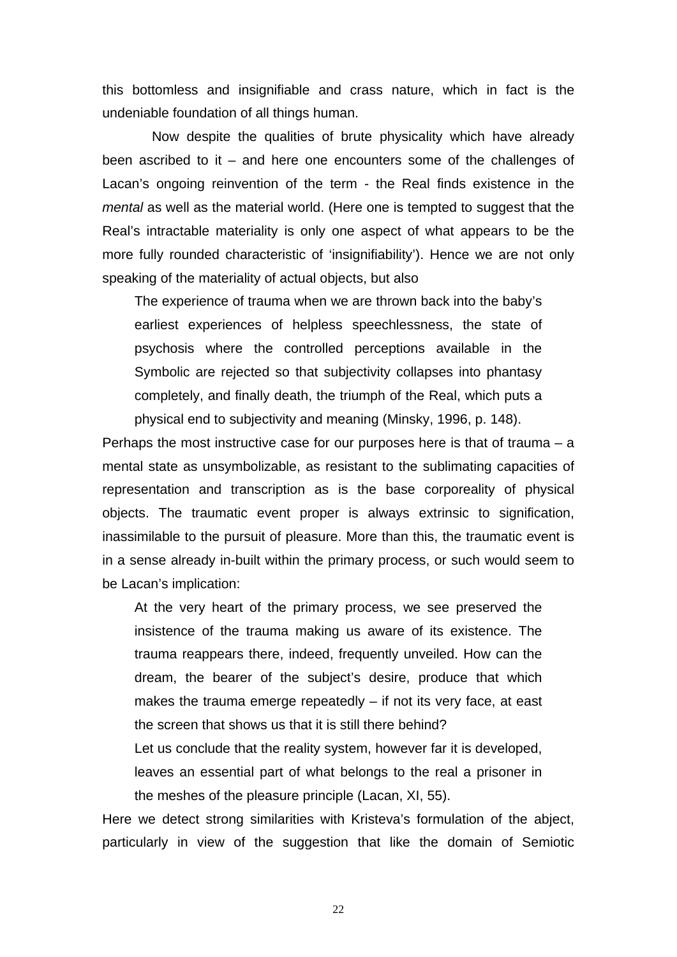this bottomless and insignifiable and crass nature, which in fact is the undeniable foundation of all things human.

 Now despite the qualities of brute physicality which have already been ascribed to it – and here one encounters some of the challenges of Lacan's ongoing reinvention of the term - the Real finds existence in the *mental* as well as the material world. (Here one is tempted to suggest that the Real's intractable materiality is only one aspect of what appears to be the more fully rounded characteristic of 'insignifiability'). Hence we are not only speaking of the materiality of actual objects, but also

The experience of trauma when we are thrown back into the baby's earliest experiences of helpless speechlessness, the state of psychosis where the controlled perceptions available in the Symbolic are rejected so that subjectivity collapses into phantasy completely, and finally death, the triumph of the Real, which puts a physical end to subjectivity and meaning (Minsky, 1996, p. 148).

Perhaps the most instructive case for our purposes here is that of trauma – a mental state as unsymbolizable, as resistant to the sublimating capacities of representation and transcription as is the base corporeality of physical objects. The traumatic event proper is always extrinsic to signification, inassimilable to the pursuit of pleasure. More than this, the traumatic event is in a sense already in-built within the primary process, or such would seem to be Lacan's implication:

At the very heart of the primary process, we see preserved the insistence of the trauma making us aware of its existence. The trauma reappears there, indeed, frequently unveiled. How can the dream, the bearer of the subject's desire, produce that which makes the trauma emerge repeatedly – if not its very face, at east the screen that shows us that it is still there behind?

Let us conclude that the reality system, however far it is developed, leaves an essential part of what belongs to the real a prisoner in the meshes of the pleasure principle (Lacan, XI, 55).

Here we detect strong similarities with Kristeva's formulation of the abject, particularly in view of the suggestion that like the domain of Semiotic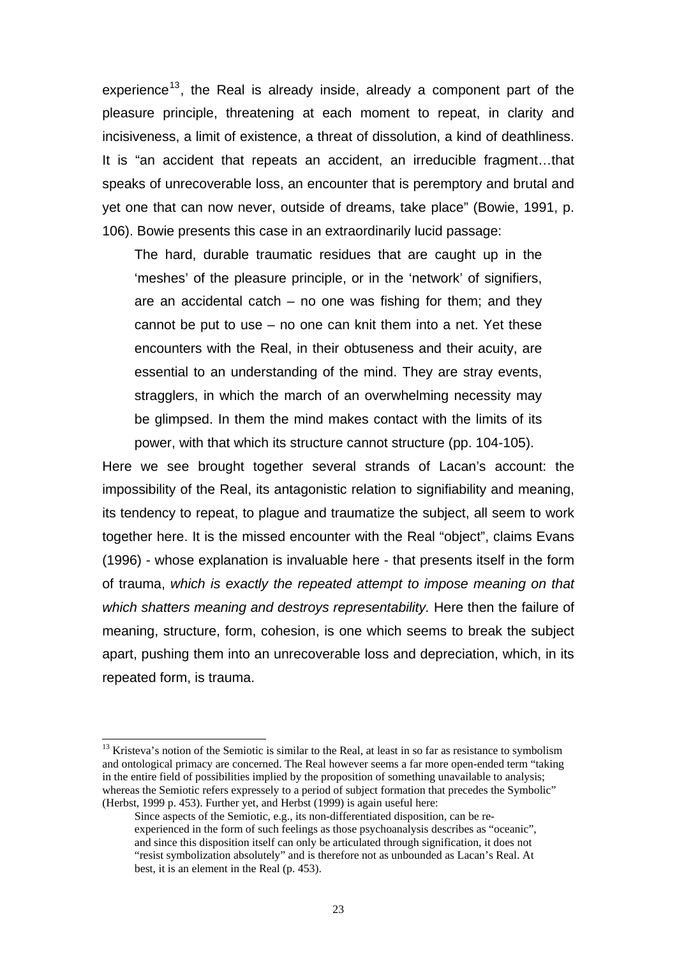experience<sup>[13](#page-23-0)</sup>, the Real is already inside, already a component part of the pleasure principle, threatening at each moment to repeat, in clarity and incisiveness, a limit of existence, a threat of dissolution, a kind of deathliness. It is "an accident that repeats an accident, an irreducible fragment…that speaks of unrecoverable loss, an encounter that is peremptory and brutal and yet one that can now never, outside of dreams, take place" (Bowie, 1991, p. 106). Bowie presents this case in an extraordinarily lucid passage:

The hard, durable traumatic residues that are caught up in the 'meshes' of the pleasure principle, or in the 'network' of signifiers, are an accidental catch  $-$  no one was fishing for them; and they cannot be put to use – no one can knit them into a net. Yet these encounters with the Real, in their obtuseness and their acuity, are essential to an understanding of the mind. They are stray events, stragglers, in which the march of an overwhelming necessity may be glimpsed. In them the mind makes contact with the limits of its power, with that which its structure cannot structure (pp. 104-105).

Here we see brought together several strands of Lacan's account: the impossibility of the Real, its antagonistic relation to signifiability and meaning, its tendency to repeat, to plague and traumatize the subject, all seem to work together here. It is the missed encounter with the Real "object", claims Evans (1996) - whose explanation is invaluable here - that presents itself in the form of trauma, *which is exactly the repeated attempt to impose meaning on that which shatters meaning and destroys representability.* Here then the failure of meaning, structure, form, cohesion, is one which seems to break the subject apart, pushing them into an unrecoverable loss and depreciation, which, in its repeated form, is trauma.

<span id="page-23-0"></span><sup>&</sup>lt;sup>13</sup> Kristeva's notion of the Semiotic is similar to the Real, at least in so far as resistance to symbolism and ontological primacy are concerned. The Real however seems a far more open-ended term "taking in the entire field of possibilities implied by the proposition of something unavailable to analysis; whereas the Semiotic refers expressely to a period of subject formation that precedes the Symbolic" (Herbst, 1999 p. 453). Further yet, and Herbst (1999) is again useful here:

Since aspects of the Semiotic, e.g., its non-differentiated disposition, can be reexperienced in the form of such feelings as those psychoanalysis describes as "oceanic", and since this disposition itself can only be articulated through signification, it does not "resist symbolization absolutely" and is therefore not as unbounded as Lacan's Real. At best, it is an element in the Real (p. 453).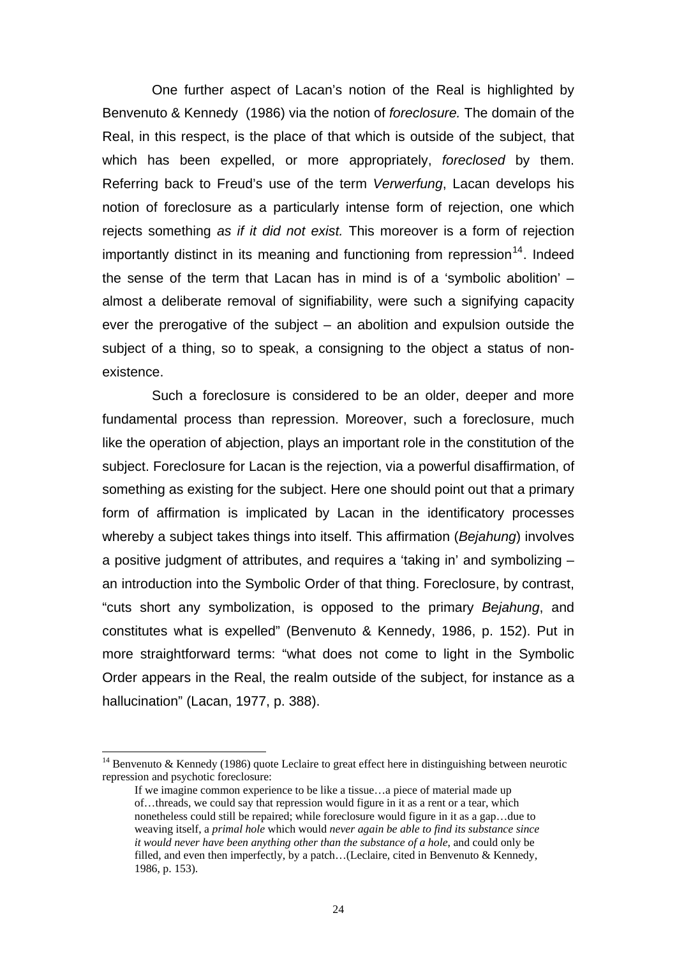One further aspect of Lacan's notion of the Real is highlighted by Benvenuto & Kennedy (1986) via the notion of *foreclosure.* The domain of the Real, in this respect, is the place of that which is outside of the subject, that which has been expelled, or more appropriately, *foreclosed* by them. Referring back to Freud's use of the term *Verwerfung*, Lacan develops his notion of foreclosure as a particularly intense form of rejection, one which rejects something *as if it did not exist.* This moreover is a form of rejection importantly distinct in its meaning and functioning from repression<sup>[14](#page-24-0)</sup>. Indeed the sense of the term that Lacan has in mind is of a 'symbolic abolition' – almost a deliberate removal of signifiability, were such a signifying capacity ever the prerogative of the subject – an abolition and expulsion outside the subject of a thing, so to speak, a consigning to the object a status of nonexistence.

 Such a foreclosure is considered to be an older, deeper and more fundamental process than repression. Moreover, such a foreclosure, much like the operation of abjection, plays an important role in the constitution of the subject. Foreclosure for Lacan is the rejection, via a powerful disaffirmation, of something as existing for the subject. Here one should point out that a primary form of affirmation is implicated by Lacan in the identificatory processes whereby a subject takes things into itself. This affirmation (*Bejahung*) involves a positive judgment of attributes, and requires a 'taking in' and symbolizing – an introduction into the Symbolic Order of that thing. Foreclosure, by contrast, "cuts short any symbolization, is opposed to the primary *Bejahung*, and constitutes what is expelled" (Benvenuto & Kennedy, 1986, p. 152). Put in more straightforward terms: "what does not come to light in the Symbolic Order appears in the Real, the realm outside of the subject, for instance as a hallucination" (Lacan, 1977, p. 388).

<span id="page-24-0"></span><sup>&</sup>lt;sup>14</sup> Benvenuto & Kennedy (1986) quote Leclaire to great effect here in distinguishing between neurotic repression and psychotic foreclosure:

If we imagine common experience to be like a tissue…a piece of material made up of…threads, we could say that repression would figure in it as a rent or a tear, which nonetheless could still be repaired; while foreclosure would figure in it as a gap…due to weaving itself, a *primal hole* which would *never again be able to find its substance since it would never have been anything other than the substance of a hole*, and could only be filled, and even then imperfectly, by a patch…(Leclaire, cited in Benvenuto & Kennedy, 1986, p. 153).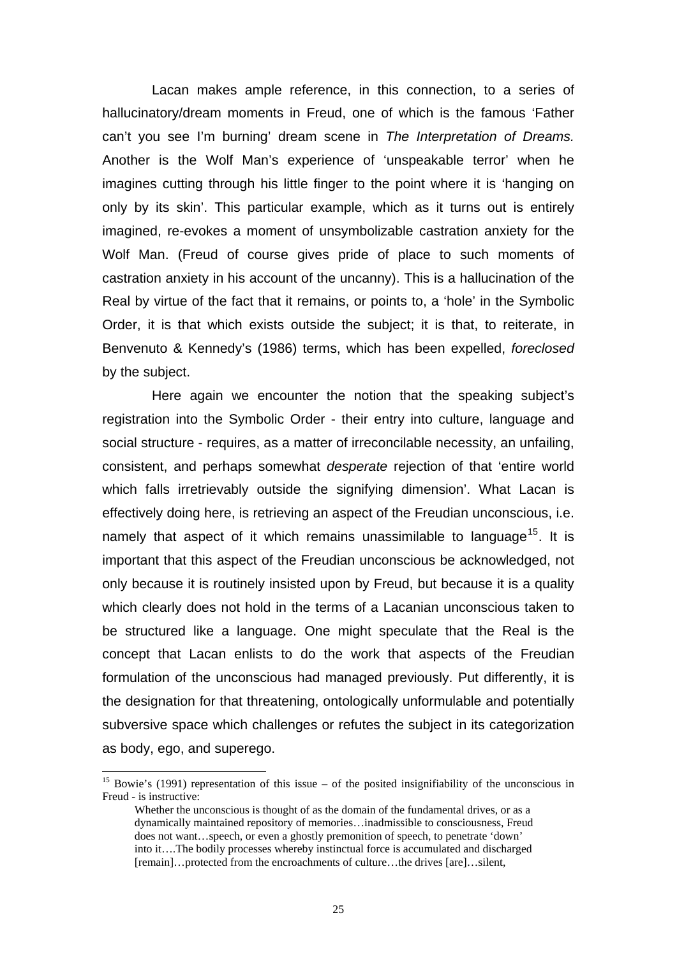Lacan makes ample reference, in this connection, to a series of hallucinatory/dream moments in Freud, one of which is the famous 'Father can't you see I'm burning' dream scene in *The Interpretation of Dreams.*  Another is the Wolf Man's experience of 'unspeakable terror' when he imagines cutting through his little finger to the point where it is 'hanging on only by its skin'. This particular example, which as it turns out is entirely imagined, re-evokes a moment of unsymbolizable castration anxiety for the Wolf Man. (Freud of course gives pride of place to such moments of castration anxiety in his account of the uncanny). This is a hallucination of the Real by virtue of the fact that it remains, or points to, a 'hole' in the Symbolic Order, it is that which exists outside the subject; it is that, to reiterate, in Benvenuto & Kennedy's (1986) terms, which has been expelled, *foreclosed* by the subject.

 Here again we encounter the notion that the speaking subject's registration into the Symbolic Order - their entry into culture, language and social structure - requires, as a matter of irreconcilable necessity, an unfailing, consistent, and perhaps somewhat *desperate* rejection of that 'entire world which falls irretrievably outside the signifying dimension'. What Lacan is effectively doing here, is retrieving an aspect of the Freudian unconscious, i.e. namely that aspect of it which remains unassimilable to language<sup>[15](#page-25-0)</sup>. It is important that this aspect of the Freudian unconscious be acknowledged, not only because it is routinely insisted upon by Freud, but because it is a quality which clearly does not hold in the terms of a Lacanian unconscious taken to be structured like a language. One might speculate that the Real is the concept that Lacan enlists to do the work that aspects of the Freudian formulation of the unconscious had managed previously. Put differently, it is the designation for that threatening, ontologically unformulable and potentially subversive space which challenges or refutes the subject in its categorization as body, ego, and superego.

<span id="page-25-0"></span><sup>&</sup>lt;sup>15</sup> Bowie's (1991) representation of this issue – of the posited insignifiability of the unconscious in Freud - is instructive:

Whether the unconscious is thought of as the domain of the fundamental drives, or as a dynamically maintained repository of memories…inadmissible to consciousness, Freud does not want…speech, or even a ghostly premonition of speech, to penetrate 'down' into it….The bodily processes whereby instinctual force is accumulated and discharged [remain]…protected from the encroachments of culture…the drives [are]…silent,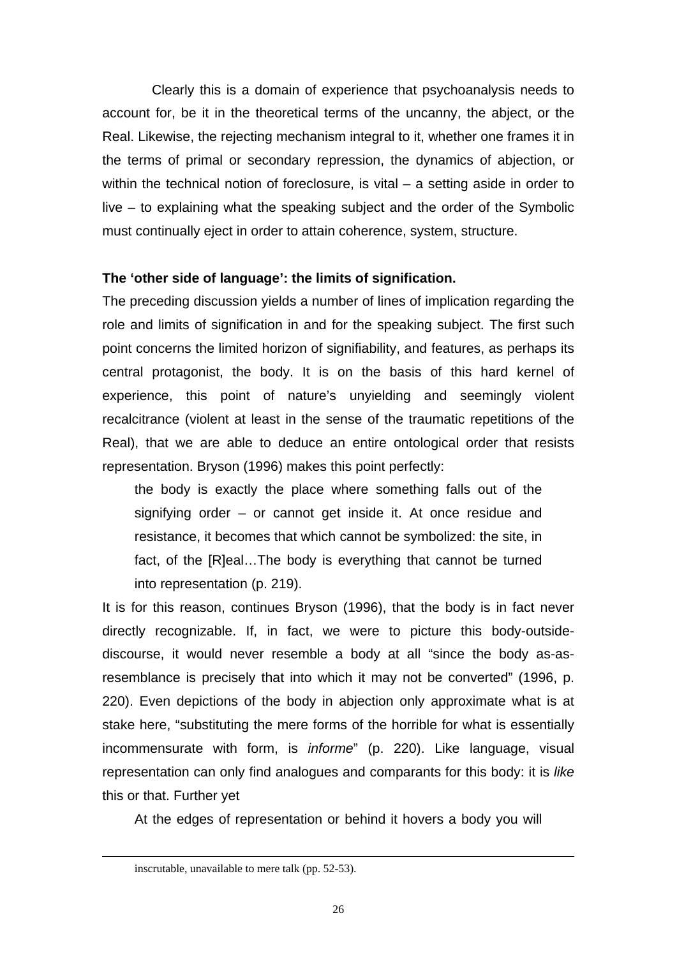Clearly this is a domain of experience that psychoanalysis needs to account for, be it in the theoretical terms of the uncanny, the abject, or the Real. Likewise, the rejecting mechanism integral to it, whether one frames it in the terms of primal or secondary repression, the dynamics of abjection, or within the technical notion of foreclosure, is vital – a setting aside in order to live – to explaining what the speaking subject and the order of the Symbolic must continually eject in order to attain coherence, system, structure.

#### **The 'other side of language': the limits of signification.**

The preceding discussion yields a number of lines of implication regarding the role and limits of signification in and for the speaking subject. The first such point concerns the limited horizon of signifiability, and features, as perhaps its central protagonist, the body. It is on the basis of this hard kernel of experience, this point of nature's unyielding and seemingly violent recalcitrance (violent at least in the sense of the traumatic repetitions of the Real), that we are able to deduce an entire ontological order that resists representation. Bryson (1996) makes this point perfectly:

the body is exactly the place where something falls out of the signifying order – or cannot get inside it. At once residue and resistance, it becomes that which cannot be symbolized: the site, in fact, of the [R]eal…The body is everything that cannot be turned into representation (p. 219).

It is for this reason, continues Bryson (1996), that the body is in fact never directly recognizable. If, in fact, we were to picture this body-outsidediscourse, it would never resemble a body at all "since the body as-asresemblance is precisely that into which it may not be converted" (1996, p. 220). Even depictions of the body in abjection only approximate what is at stake here, "substituting the mere forms of the horrible for what is essentially incommensurate with form, is *informe*" (p. 220). Like language, visual representation can only find analogues and comparants for this body: it is *like* this or that. Further yet

At the edges of representation or behind it hovers a body you will

 $\overline{a}$ 

inscrutable, unavailable to mere talk (pp. 52-53).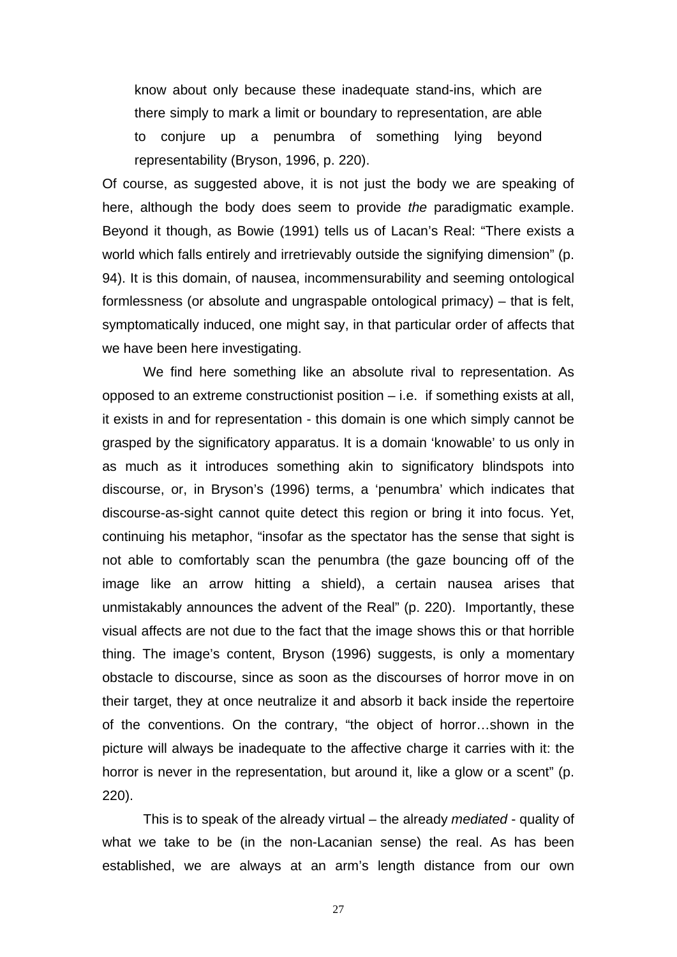know about only because these inadequate stand-ins, which are there simply to mark a limit or boundary to representation, are able to conjure up a penumbra of something lying beyond representability (Bryson, 1996, p. 220).

Of course, as suggested above, it is not just the body we are speaking of here, although the body does seem to provide *the* paradigmatic example. Beyond it though, as Bowie (1991) tells us of Lacan's Real: "There exists a world which falls entirely and irretrievably outside the signifying dimension" (p. 94). It is this domain, of nausea, incommensurability and seeming ontological formlessness (or absolute and ungraspable ontological primacy) – that is felt, symptomatically induced, one might say, in that particular order of affects that we have been here investigating.

We find here something like an absolute rival to representation. As opposed to an extreme constructionist position  $-$  i.e. if something exists at all, it exists in and for representation - this domain is one which simply cannot be grasped by the significatory apparatus. It is a domain 'knowable' to us only in as much as it introduces something akin to significatory blindspots into discourse, or, in Bryson's (1996) terms, a 'penumbra' which indicates that discourse-as-sight cannot quite detect this region or bring it into focus. Yet, continuing his metaphor, "insofar as the spectator has the sense that sight is not able to comfortably scan the penumbra (the gaze bouncing off of the image like an arrow hitting a shield), a certain nausea arises that unmistakably announces the advent of the Real" (p. 220). Importantly, these visual affects are not due to the fact that the image shows this or that horrible thing. The image's content, Bryson (1996) suggests, is only a momentary obstacle to discourse, since as soon as the discourses of horror move in on their target, they at once neutralize it and absorb it back inside the repertoire of the conventions. On the contrary, "the object of horror…shown in the picture will always be inadequate to the affective charge it carries with it: the horror is never in the representation, but around it, like a glow or a scent" (p. 220).

This is to speak of the already virtual – the already *mediated* - quality of what we take to be (in the non-Lacanian sense) the real. As has been established, we are always at an arm's length distance from our own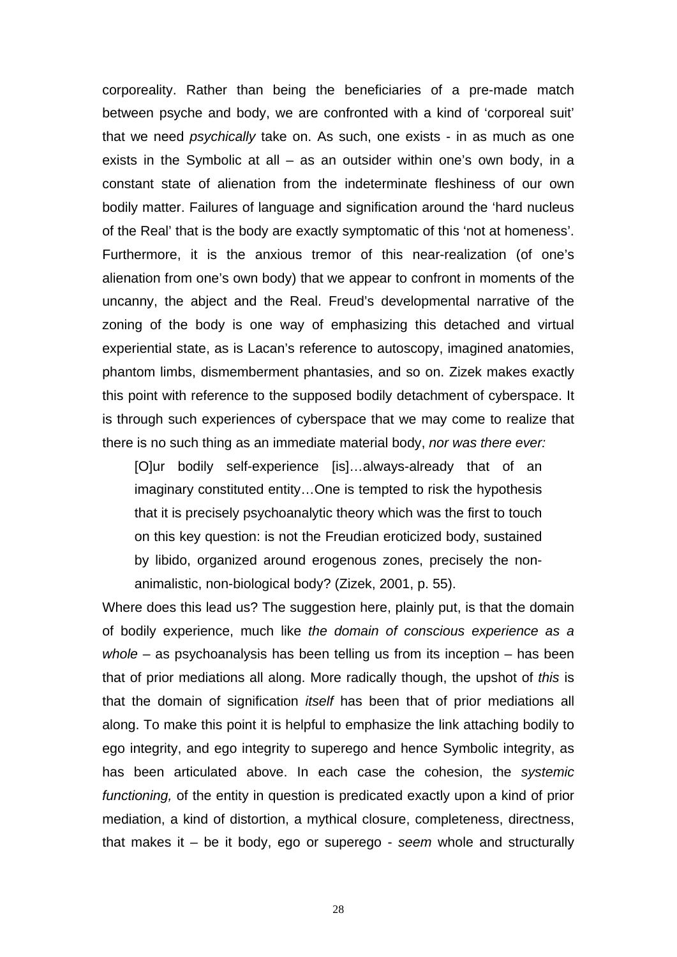corporeality. Rather than being the beneficiaries of a pre-made match between psyche and body, we are confronted with a kind of 'corporeal suit' that we need *psychically* take on. As such, one exists - in as much as one exists in the Symbolic at all  $-$  as an outsider within one's own body, in a constant state of alienation from the indeterminate fleshiness of our own bodily matter. Failures of language and signification around the 'hard nucleus of the Real' that is the body are exactly symptomatic of this 'not at homeness'. Furthermore, it is the anxious tremor of this near-realization (of one's alienation from one's own body) that we appear to confront in moments of the uncanny, the abject and the Real. Freud's developmental narrative of the zoning of the body is one way of emphasizing this detached and virtual experiential state, as is Lacan's reference to autoscopy, imagined anatomies, phantom limbs, dismemberment phantasies, and so on. Zizek makes exactly this point with reference to the supposed bodily detachment of cyberspace. It is through such experiences of cyberspace that we may come to realize that there is no such thing as an immediate material body, *nor was there ever:*

[O]ur bodily self-experience [is]…always-already that of an imaginary constituted entity…One is tempted to risk the hypothesis that it is precisely psychoanalytic theory which was the first to touch on this key question: is not the Freudian eroticized body, sustained by libido, organized around erogenous zones, precisely the nonanimalistic, non-biological body? (Zizek, 2001, p. 55).

Where does this lead us? The suggestion here, plainly put, is that the domain of bodily experience, much like *the domain of conscious experience as a whole* – as psychoanalysis has been telling us from its inception – has been that of prior mediations all along. More radically though, the upshot of *this* is that the domain of signification *itself* has been that of prior mediations all along. To make this point it is helpful to emphasize the link attaching bodily to ego integrity, and ego integrity to superego and hence Symbolic integrity, as has been articulated above. In each case the cohesion, the *systemic functioning,* of the entity in question is predicated exactly upon a kind of prior mediation, a kind of distortion, a mythical closure, completeness, directness, that makes it – be it body, ego or superego - *seem* whole and structurally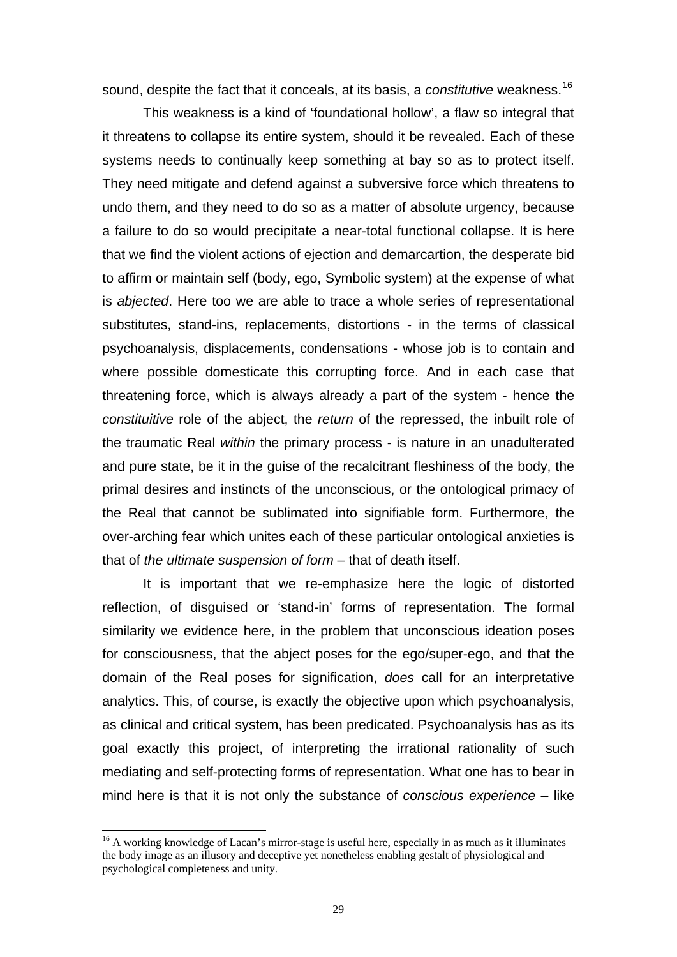sound, despite the fact that it conceals, at its basis, a *constitutive* weakness.[16](#page-29-0) 

This weakness is a kind of 'foundational hollow', a flaw so integral that it threatens to collapse its entire system, should it be revealed. Each of these systems needs to continually keep something at bay so as to protect itself. They need mitigate and defend against a subversive force which threatens to undo them, and they need to do so as a matter of absolute urgency, because a failure to do so would precipitate a near-total functional collapse. It is here that we find the violent actions of ejection and demarcartion, the desperate bid to affirm or maintain self (body, ego, Symbolic system) at the expense of what is *abjected*. Here too we are able to trace a whole series of representational substitutes, stand-ins, replacements, distortions - in the terms of classical psychoanalysis, displacements, condensations - whose job is to contain and where possible domesticate this corrupting force. And in each case that threatening force, which is always already a part of the system - hence the *constituitive* role of the abject, the *return* of the repressed, the inbuilt role of the traumatic Real *within* the primary process - is nature in an unadulterated and pure state, be it in the guise of the recalcitrant fleshiness of the body, the primal desires and instincts of the unconscious, or the ontological primacy of the Real that cannot be sublimated into signifiable form. Furthermore, the over-arching fear which unites each of these particular ontological anxieties is that of *the ultimate suspension of form* – that of death itself.

It is important that we re-emphasize here the logic of distorted reflection, of disguised or 'stand-in' forms of representation. The formal similarity we evidence here, in the problem that unconscious ideation poses for consciousness, that the abject poses for the ego/super-ego, and that the domain of the Real poses for signification, *does* call for an interpretative analytics. This, of course, is exactly the objective upon which psychoanalysis, as clinical and critical system, has been predicated. Psychoanalysis has as its goal exactly this project, of interpreting the irrational rationality of such mediating and self-protecting forms of representation. What one has to bear in mind here is that it is not only the substance of *conscious experience* – like

<span id="page-29-0"></span><sup>&</sup>lt;sup>16</sup> A working knowledge of Lacan's mirror-stage is useful here, especially in as much as it illuminates the body image as an illusory and deceptive yet nonetheless enabling gestalt of physiological and psychological completeness and unity.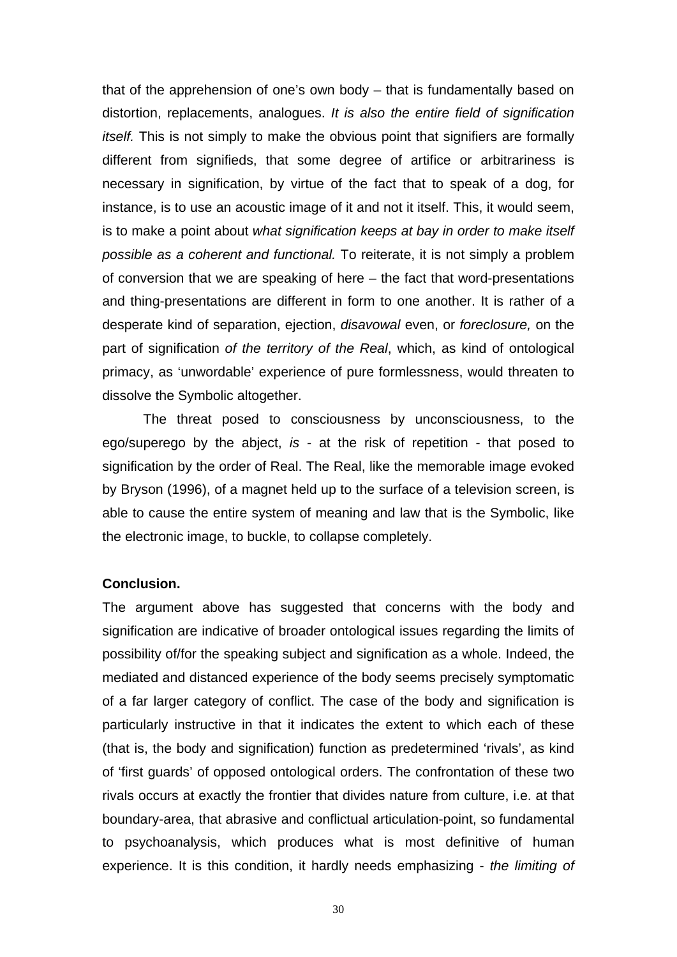that of the apprehension of one's own body – that is fundamentally based on distortion, replacements, analogues. *It is also the entire field of signification itself.* This is not simply to make the obvious point that signifiers are formally different from signifieds, that some degree of artifice or arbitrariness is necessary in signification, by virtue of the fact that to speak of a dog, for instance, is to use an acoustic image of it and not it itself. This, it would seem, is to make a point about *what signification keeps at bay in order to make itself possible as a coherent and functional.* To reiterate, it is not simply a problem of conversion that we are speaking of here – the fact that word-presentations and thing-presentations are different in form to one another. It is rather of a desperate kind of separation, ejection, *disavowal* even, or *foreclosure,* on the part of signification *of the territory of the Real*, which, as kind of ontological primacy, as 'unwordable' experience of pure formlessness, would threaten to dissolve the Symbolic altogether.

The threat posed to consciousness by unconsciousness, to the ego/superego by the abject, *is -* at the risk of repetition - that posed to signification by the order of Real. The Real, like the memorable image evoked by Bryson (1996), of a magnet held up to the surface of a television screen, is able to cause the entire system of meaning and law that is the Symbolic, like the electronic image, to buckle, to collapse completely.

#### **Conclusion.**

The argument above has suggested that concerns with the body and signification are indicative of broader ontological issues regarding the limits of possibility of/for the speaking subject and signification as a whole. Indeed, the mediated and distanced experience of the body seems precisely symptomatic of a far larger category of conflict. The case of the body and signification is particularly instructive in that it indicates the extent to which each of these (that is, the body and signification) function as predetermined 'rivals', as kind of 'first guards' of opposed ontological orders. The confrontation of these two rivals occurs at exactly the frontier that divides nature from culture, i.e. at that boundary-area, that abrasive and conflictual articulation-point, so fundamental to psychoanalysis, which produces what is most definitive of human experience. It is this condition, it hardly needs emphasizing - *the limiting of*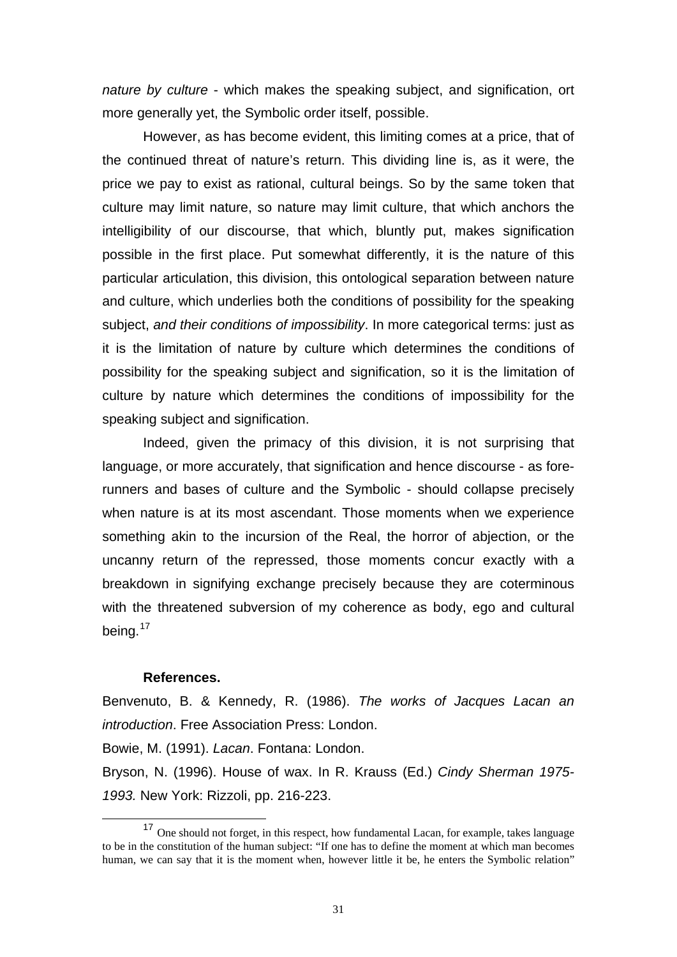*nature by culture* - which makes the speaking subject, and signification, ort more generally yet, the Symbolic order itself, possible.

However, as has become evident, this limiting comes at a price, that of the continued threat of nature's return. This dividing line is, as it were, the price we pay to exist as rational, cultural beings. So by the same token that culture may limit nature, so nature may limit culture, that which anchors the intelligibility of our discourse, that which, bluntly put, makes signification possible in the first place. Put somewhat differently, it is the nature of this particular articulation, this division, this ontological separation between nature and culture, which underlies both the conditions of possibility for the speaking subject, *and their conditions of impossibility*. In more categorical terms: just as it is the limitation of nature by culture which determines the conditions of possibility for the speaking subject and signification, so it is the limitation of culture by nature which determines the conditions of impossibility for the speaking subject and signification.

Indeed, given the primacy of this division, it is not surprising that language, or more accurately, that signification and hence discourse - as forerunners and bases of culture and the Symbolic - should collapse precisely when nature is at its most ascendant. Those moments when we experience something akin to the incursion of the Real, the horror of abjection, or the uncanny return of the repressed, those moments concur exactly with a breakdown in signifying exchange precisely because they are coterminous with the threatened subversion of my coherence as body, ego and cultural being.<sup>[17](#page-31-0)</sup>

#### **References.**

Benvenuto, B. & Kennedy, R. (1986). *The works of Jacques Lacan an introduction*. Free Association Press: London.

Bowie, M. (1991). *Lacan*. Fontana: London.

Bryson, N. (1996). House of wax. In R. Krauss (Ed.) *Cindy Sherman 1975- 1993.* New York: Rizzoli, pp. 216-223.

<span id="page-31-0"></span><sup>&</sup>lt;sup>17</sup> One should not forget, in this respect, how fundamental Lacan, for example, takes language to be in the constitution of the human subject: "If one has to define the moment at which man becomes human, we can say that it is the moment when, however little it be, he enters the Symbolic relation"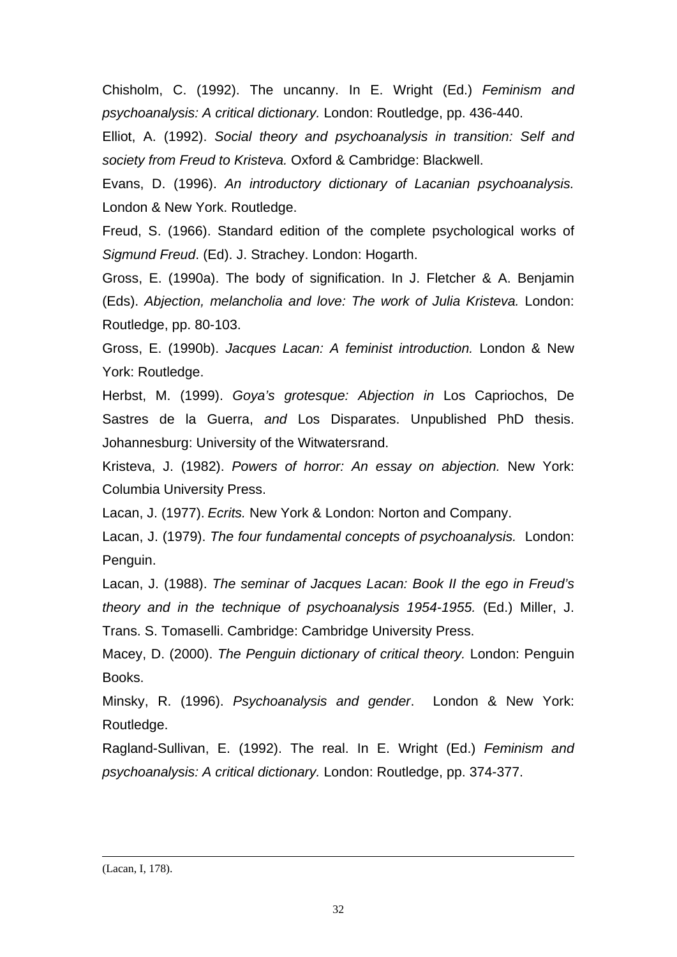Chisholm, C. (1992). The uncanny. In E. Wright (Ed.) *Feminism and psychoanalysis: A critical dictionary.* London: Routledge, pp. 436-440.

Elliot, A. (1992). *Social theory and psychoanalysis in transition: Self and society from Freud to Kristeva.* Oxford & Cambridge: Blackwell.

Evans, D. (1996). *An introductory dictionary of Lacanian psychoanalysis.* London & New York. Routledge.

Freud, S. (1966). Standard edition of the complete psychological works of *Sigmund Freud*. (Ed). J. Strachey. London: Hogarth.

Gross, E. (1990a). The body of signification. In J. Fletcher & A. Benjamin (Eds). *Abjection, melancholia and love: The work of Julia Kristeva.* London: Routledge, pp. 80-103.

Gross, E. (1990b). *Jacques Lacan: A feminist introduction.* London & New York: Routledge.

Herbst, M. (1999). *Goya's grotesque: Abjection in* Los Capriochos, De Sastres de la Guerra, *and* Los Disparates. Unpublished PhD thesis. Johannesburg: University of the Witwatersrand.

Kristeva, J. (1982). *Powers of horror: An essay on abjection.* New York: Columbia University Press.

Lacan, J. (1977). *Ecrits.* New York & London: Norton and Company.

Lacan, J. (1979). *The four fundamental concepts of psychoanalysis.* London: Penguin.

Lacan, J. (1988). *The seminar of Jacques Lacan: Book II the ego in Freud's theory and in the technique of psychoanalysis 1954-1955.* (Ed.) Miller, J. Trans. S. Tomaselli. Cambridge: Cambridge University Press.

Macey, D. (2000). *The Penguin dictionary of critical theory.* London: Penguin Books.

Minsky, R. (1996). *Psychoanalysis and gender*. London & New York: Routledge.

Ragland-Sullivan, E. (1992). The real. In E. Wright (Ed.) *Feminism and psychoanalysis: A critical dictionary.* London: Routledge, pp. 374-377.

#### (Lacan, I, 178).

 $\overline{a}$